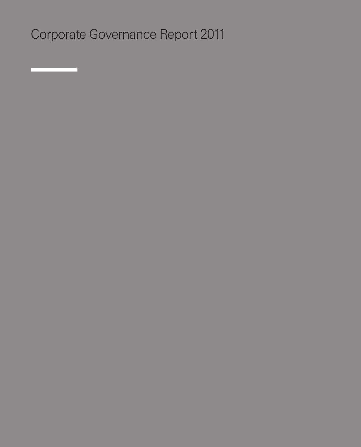Corporate Governance Report 2011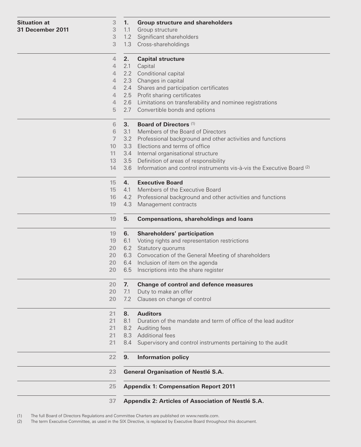| <b>Situation at</b><br>31 December 2011 | 3<br>3         | 1.        | <b>Group structure and shareholders</b>                                                |
|-----------------------------------------|----------------|-----------|----------------------------------------------------------------------------------------|
|                                         | $\sqrt{3}$     | 1.1       | Group structure<br>1.2 Significant shareholders                                        |
|                                         | 3              |           | 1.3 Cross-shareholdings                                                                |
|                                         | $\overline{4}$ |           |                                                                                        |
|                                         | $\overline{4}$ | 2.<br>2.1 | <b>Capital structure</b><br>Capital                                                    |
|                                         | $\overline{4}$ |           | 2.2 Conditional capital                                                                |
|                                         | 4              |           | 2.3 Changes in capital                                                                 |
|                                         | $\overline{4}$ |           | 2.4 Shares and participation certificates                                              |
|                                         | $\overline{4}$ |           | 2.5 Profit sharing certificates                                                        |
|                                         | $\overline{4}$ |           | 2.6 Limitations on transferability and nominee registrations                           |
|                                         | 5              | 2.7       | Convertible bonds and options                                                          |
|                                         | 6              | 3.        | <b>Board of Directors (1)</b>                                                          |
|                                         | 6              | 3.1       | Members of the Board of Directors                                                      |
|                                         | $\overline{I}$ | 3.2       | Professional background and other activities and functions                             |
|                                         | 10             | 3.3       | Elections and terms of office                                                          |
|                                         | 11             |           | 3.4 Internal organisational structure                                                  |
|                                         | 13             |           | 3.5 Definition of areas of responsibility                                              |
|                                         | 14             |           | 3.6 Information and control instruments vis-à-vis the Executive Board (2)              |
|                                         | 15             | 4.        | <b>Executive Board</b>                                                                 |
|                                         | 15             | 4.1       | Members of the Executive Board                                                         |
|                                         | 16<br>19       | 4.3       | 4.2 Professional background and other activities and functions<br>Management contracts |
|                                         |                |           |                                                                                        |
|                                         | 19             | 5.        | <b>Compensations, shareholdings and loans</b>                                          |
|                                         | 19             | 6.        | Shareholders' participation                                                            |
|                                         | 19<br>20       | 6.1       | Voting rights and representation restrictions<br>6.2 Statutory quorums                 |
|                                         | 20             |           | 6.3 Convocation of the General Meeting of shareholders                                 |
|                                         | 20             |           | 6.4 Inclusion of item on the agenda                                                    |
|                                         | 20             | 6.5       | Inscriptions into the share register                                                   |
|                                         | 20             | 7.        | <b>Change of control and defence measures</b>                                          |
|                                         | 20             | 7.1       | Duty to make an offer                                                                  |
|                                         | 20             | 7.2       | Clauses on change of control                                                           |
|                                         | 21             | 8.        | <b>Auditors</b>                                                                        |
|                                         | 21             | 8.1       | Duration of the mandate and term of office of the lead auditor                         |
|                                         | 21             | 8.2       | Auditing fees                                                                          |
|                                         | 21             | 8.3       | <b>Additional fees</b>                                                                 |
|                                         | 21             | 8.4       | Supervisory and control instruments pertaining to the audit                            |
|                                         | 22             | 9.        | <b>Information policy</b>                                                              |
|                                         | 23             |           | General Organisation of Nestlé S.A.                                                    |
|                                         | 25             |           | <b>Appendix 1: Compensation Report 2011</b>                                            |
|                                         | 37             |           | Appendix 2: Articles of Association of Nestlé S.A.                                     |

(1) The full Board of Directors Regulations and Committee Charters are published on www.nestle.com. The term Executive Committee, as used in the SIX Directive, is replaced by Executive Board throughout this document.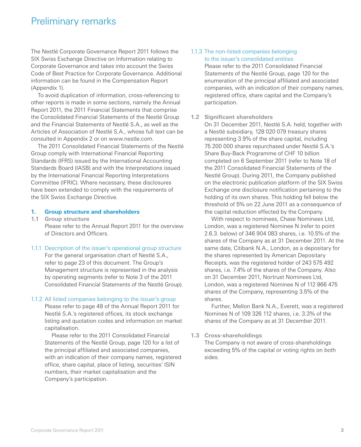# Preliminary remarks

The Nestlé Corporate Governance Report 2011 follows the SIX Swiss Exchange Directive on Information relating to Corporate Governance and takes into account the Swiss Code of Best Practice for Corporate Governance. Additional information can be found in the Compensation Report (Appendix 1).

To avoid duplication of information, cross-referencing to other reports is made in some sections, namely the Annual Report 2011, the 2011 Financial Statements that comprise the Consolidated Financial Statements of the Nestlé Group and the Financial Statements of Nestlé S.A., as well as the Articles of Association of Nestlé S.A., whose full text can be consulted in Appendix 2 or on www.nestle.com.

The 2011 Consolidated Financial Statements of the Nestlé Group comply with International Financial Reporting Standards (IFRS) issued by the International Accounting Standards Board (IASB) and with the Interpretations issued by the International Financial Reporting Interpretations Committee (IFRIC). Where necessary, these disclosures have been extended to comply with the requirements of the SIX Swiss Exchange Directive.

#### **1. Group structure and shareholders**

**1.1 Group structure**

Please refer to the Annual Report 2011 for the overview of Directors and Officers.

#### 1.1.1 Description of the issuer's operational group structure

For the general organisation chart of Nestlé S.A., refer to page 23 of this document. The Group's Management structure is represented in the analysis by operating segments (refer to Note 3 of the 2011 Consolidated Financial Statements of the Nestlé Group).

#### 1.1.2 All listed companies belonging to the issuer's group

Please refer to page 48 of the Annual Report 2011 for Nestlé S.A.'s registered offices, its stock exchange listing and quotation codes and information on market capitalisation.

Please refer to the 2011 Consolidated Financial Statements of the Nestlé Group, page 120 for a list of the principal affiliated and associated companies, with an indication of their company names, registered office, share capital, place of listing, securities' ISIN numbers, their market capitalisation and the Company's participation.

# 1.1.3 The non-listed companies belonging to the issuer's consolidated entities

Please refer to the 2011 Consolidated Financial Statements of the Nestlé Group, page 120 for the enumeration of the principal affiliated and associated companies, with an indication of their company names, registered office, share capital and the Company's participation.

#### **1.2 Significant shareholders**

On 31 December 2011, Nestlé S.A. held, together with a Nestlé subsidiary, 128 020 079 treasury shares representing 3.9% of the share capital, including 75 200 000 shares repurchased under Nestlé S.A.'s Share Buy-Back Programme of CHF 10 billion completed on 6 September 2011 (refer to Note 18 of the 2011 Consolidated Financial Statements of the Nestlé Group). During 2011, the Company published on the electronic publication platform of the SIX Swiss Exchange one disclosure notification pertaining to the holding of its own shares. This holding fell below the threshold of 5% on 22 June 2011 as a consequence of the capital reduction effected by the Company.

With respect to nominees, Chase Nominees Ltd, London, was a registered Nominee N (refer to point 2.6.3. below) of 346 904 083 shares, i.e. 10.5% of the shares of the Company as at 31 December 2011. At the same date, Citibank N.A., London, as a depositary for the shares represented by American Depositary Receipts, was the registered holder of 243 575 492 shares, i.e. 7.4% of the shares of the Company. Also on 31 December 2011, Nortrust Nominees Ltd, London, was a registered Nominee N of 112 866 475 shares of the Company, representing 3.5% of the shares.

Further, Mellon Bank N.A., Everett, was a registered Nominee N of 109 326 112 shares, i.e. 3.3% of the shares of the Company as at 31 December 2011.

#### **1.3 Cross-shareholdings**

The Company is not aware of cross-shareholdings exceeding 5% of the capital or voting rights on both sides.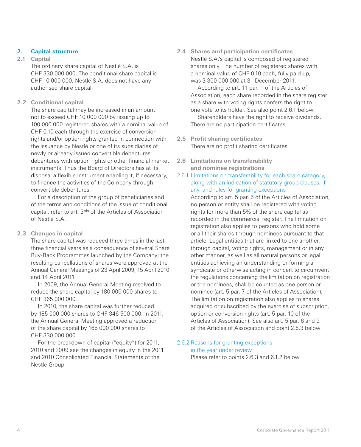# **2. Capital structure**

# **2.1 Capital**

The ordinary share capital of Nestlé S.A. is CHF 330 000 000. The conditional share capital is CHF 10 000 000. Nestlé S.A. does not have any authorised share capital.

# **2.2 Conditional capital**

The share capital may be increased in an amount not to exceed CHF 10 000 000 by issuing up to 100 000 000 registered shares with a nominal value of CHF 0.10 each through the exercise of conversion rights and/or option rights granted in connection with the issuance by Nestlé or one of its subsidiaries of newly or already issued convertible debentures, debentures with option rights or other financial market instruments. Thus the Board of Directors has at its disposal a flexible instrument enabling it, if necessary, to finance the activities of the Company through convertible debentures.

For a description of the group of beneficiaries and of the terms and conditions of the issue of conditional capital, refer to art. 3bis of the Articles of Association of Nestlé S.A.

# **2.3 Changes in capital**

The share capital was reduced three times in the last three financial years as a consequence of several Share Buy-Back Programmes launched by the Company; the resulting cancellations of shares were approved at the Annual General Meetings of 23 April 2009, 15 April 2010 and 14 April 2011.

In 2009, the Annual General Meeting resolved to reduce the share capital by 180 000 000 shares to CHF 365 000 000.

In 2010, the share capital was further reduced by 185 000 000 shares to CHF 346 500 000. In 2011, the Annual General Meeting approved a reduction of the share capital by 165 000 000 shares to CHF 330 000 000.

For the breakdown of capital ("equity") for 2011, 2010 and 2009 see the changes in equity in the 2011 and 2010 Consolidated Financial Statements of the Nestlé Group.

**2.4 Shares and participation certificates** Nestlé S.A.'s capital is composed of registered shares only. The number of registered shares with a nominal value of CHF 0.10 each, fully paid up, was 3 300 000 000 at 31 December 2011.

According to art. 11 par. 1 of the Articles of Association, each share recorded in the share register as a share with voting rights confers the right to one vote to its holder. See also point 2.6.1 below.

Shareholders have the right to receive dividends. There are no participation certificates.

- **2.5 Profit sharing certificates** There are no profit sharing certificates.
- **2.6 Limitations on transferability and nominee registrations**
- 2.6.1 Limitations on transferability for each share category, along with an indication of statutory group clauses, if any, and rules for granting exceptions

According to art. 5 par. 5 of the Articles of Association, no person or entity shall be registered with voting rights for more than 5% of the share capital as recorded in the commercial register. The limitation on registration also applies to persons who hold some or all their shares through nominees pursuant to that article. Legal entities that are linked to one another, through capital, voting rights, management or in any other manner, as well as all natural persons or legal entities achieving an understanding or forming a syndicate or otherwise acting in concert to circumvent the regulations concerning the limitation on registration or the nominees, shall be counted as one person or nominee (art. 5 par. 7 of the Articles of Association). The limitation on registration also applies to shares acquired or subscribed by the exercise of subscription, option or conversion rights (art. 5 par. 10 of the Articles of Association). See also art. 5 par. 6 and 9 of the Articles of Association and point 2.6.3 below.

2.6.2 Reasons for granting exceptions in the year under review

Please refer to points 2.6.3 and 6.1.2 below.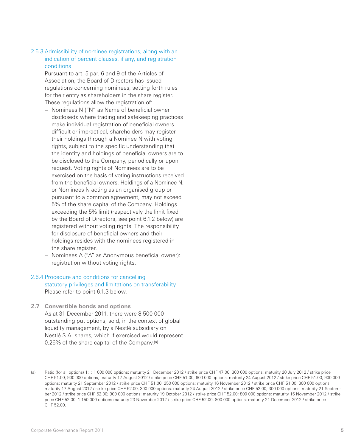# 2.6.3 Admissibility of nominee registrations, along with an indication of percent clauses, if any, and registration conditions

Pursuant to art. 5 par. 6 and 9 of the Articles of Association, the Board of Directors has issued regulations concerning nominees, setting forth rules for their entry as shareholders in the share register. These regulations allow the registration of:

- Nominees N ("N" as Name of beneficial owner disclosed): where trading and safekeeping practices make individual registration of beneficial owners difficult or impractical, shareholders may register their holdings through a Nominee N with voting rights, subject to the specific understanding that the identity and holdings of beneficial owners are to be disclosed to the Company, periodically or upon request. Voting rights of Nominees are to be exercised on the basis of voting instructions received from the beneficial owners. Holdings of a Nominee N, or Nominees N acting as an organised group or pursuant to a common agreement, may not exceed 5% of the share capital of the Company. Holdings exceeding the 5% limit (respectively the limit fixed by the Board of Directors, see point 6.1.2 below) are registered without voting rights. The responsibility for disclosure of beneficial owners and their holdings resides with the nominees registered in the share register.
- Nominees A ("A" as Anonymous beneficial owner): registration without voting rights.

# 2.6.4 Procedure and conditions for cancelling statutory privileges and limitations on transferability Please refer to point 6.1.3 below.

**2.7 Convertible bonds and options** As at 31 December 2011, there were 8 500 000 outstanding put options, sold, in the context of global liquidity management, by a Nestlé subsidiary on Nestlé S.A. shares, which if exercised would represent 0.26% of the share capital of the Company.<sup>(a)</sup>

<sup>(</sup>a) Ratio (for all options) 1:1; 1 000 000 options: maturity 21 December 2012 / strike price CHF 47.00; 300 000 options: maturity 20 July 2012 / strike price CHF 51.00; 900 000 options, maturity 17 August 2012 / strike price CHF 51.00; 600 000 options: maturity 24 August 2012 / strike price CHF 51.00; 900 000 options: maturity 21 September 2012 / strike price CHF 51.00; 250 000 options: maturity 16 November 2012 / strike price CHF 51.00; 300 000 options: maturity 17 August 2012 / strike price CHF 52.00; 300 000 options: maturity 24 August 2012 / strike price CHF 52.00; 300 000 options: maturity 21 September 2012 / strike price CHF 52.00; 900 000 options: maturity 19 October 2012 / strike price CHF 52.00; 800 000 options: maturity 16 November 2012 / strike price CHF 52.00; 1 150 000 options maturity 23 November 2012 / strike price CHF 52.00; 800 000 options: maturity 21 December 2012 / strike price CHF 52.00.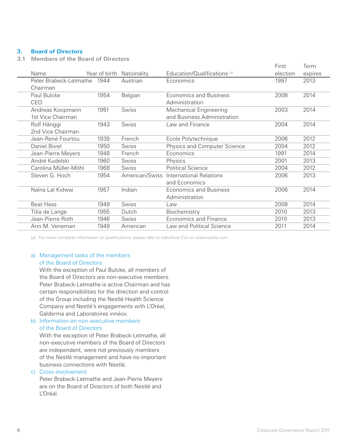# **3. Board of Directors**

**3.1 Members of the Board of Directors**

|                        |               |                |                              | First    | Term    |
|------------------------|---------------|----------------|------------------------------|----------|---------|
| Name                   | Year of birth | Nationality    | Education/Qualifications (a) | election | expires |
| Peter Brabeck-Letmathe | 1944          | Austrian       | Economics                    | 1997     | 2013    |
| Chairman               |               |                |                              |          |         |
| Paul Bulcke            | 1954          | Belgian        | Economics and Business       | 2008     | 2014    |
| CEO                    |               |                | Administration               |          |         |
| Andreas Koopmann       | 1951          | Swiss          | Mechanical Engineering       | 2003     | 2014    |
| 1st Vice Chairman      |               |                | and Business Administration  |          |         |
| Rolf Hänggi            | 1943          | Swiss          | Law and Finance              | 2004     | 2014    |
| 2nd Vice Chairman      |               |                |                              |          |         |
| Jean-René Fourtou      | 1939          | French         | Ecole Polytechnique          | 2006     | 2012    |
| Daniel Borel           | 1950          | <b>Swiss</b>   | Physics and Computer Science | 2004     | 2012    |
| Jean-Pierre Meyers     | 1948          | French         | Economics                    | 1991     | 2014    |
| André Kudelski         | 1960          | <b>Swiss</b>   | Physics                      | 2001     | 2013    |
| Carolina Müller-Möhl   | 1968          | <b>Swiss</b>   | <b>Political Science</b>     | 2004     | 2012    |
| Steven G. Hoch         | 1954          | American/Swiss | International Relations      | 2006     | 2013    |
|                        |               |                | and Economics                |          |         |
| Naïna Lal Kidwai       | 1957          | Indian         | Economics and Business       | 2006     | 2014    |
|                        |               |                | Administration               |          |         |
| <b>Beat Hess</b>       | 1949          | Swiss          | Law                          | 2008     | 2014    |
| Titia de Lange         | 1955          | Dutch          | Biochemistry                 | 2010     | 2013    |
| Jean-Pierre Roth       | 1946          | Swiss          | <b>Economics and Finance</b> | 2010     | 2013    |
| Ann M. Veneman         | 1949          | American       | Law and Political Science    | 2011     | 2014    |

(a) For more complete information on qualifications: please refer to individual CVs on www.nestle.com.

# a) Management tasks of the members of the Board of Directors

With the exception of Paul Bulcke, all members of the Board of Directors are non-executive members. Peter Brabeck-Letmathe is active Chairman and has certain responsibilities for the direction and control of the Group including the Nestlé Health Science Company and Nestlé's engagements with L'Oréal, Galderma and Laboratoires innéov.

# b) Information on non-executive members of the Board of Directors

With the exception of Peter Brabeck-Letmathe, all non-executive members of the Board of Directors are independent, were not previously members of the Nestlé management and have no important business connections with Nestlé.

#### c) Cross-involvement

Peter Brabeck-Letmathe and Jean-Pierre Meyers are on the Board of Directors of both Nestlé and L'Oréal.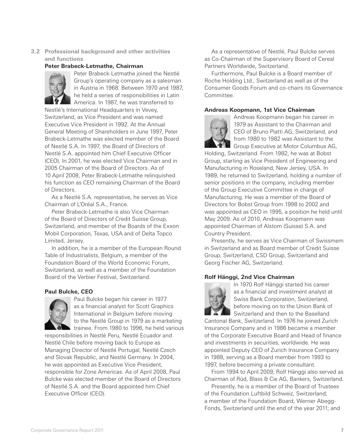**3.2 Professional background and other activities and functions**

#### **Peter Brabeck-Letmathe, Chairman**



Peter Brabeck-Letmathe joined the Nestlé Group's operating company as a salesman in Austria in 1968. Between 1970 and 1987, he held a series of responsibilities in Latin America. In 1987, he was transferred to

Nestlé's International Headquarters in Vevey, Switzerland, as Vice President and was named Executive Vice President in 1992. At the Annual General Meeting of Shareholders in June 1997, Peter Brabeck-Letmathe was elected member of the Board of Nestlé S.A. In 1997, the Board of Directors of Nestlé S.A. appointed him Chief Executive Officer (CEO). In 2001, he was elected Vice Chairman and in 2005 Chairman of the Board of Directors. As of 10 April 2008, Peter Brabeck-Letmathe relinquished his function as CEO remaining Chairman of the Board of Directors.

As a Nestlé S.A. representative, he serves as Vice Chairman of L'Oréal S.A., France.

Peter Brabeck-Letmathe is also Vice Chairman of the Board of Directors of Credit Suisse Group, Switzerland, and member of the Boards of the Exxon Mobil Corporation, Texas, USA and of Delta Topco Limited, Jersey.

In addition, he is a member of the European Round Table of Industrialists, Belgium, a member of the Foundation Board of the World Economic Forum, Switzerland, as well as a member of the Foundation Board of the Verbier Festival, Switzerland.

# **Paul Bulcke, CEO**



Paul Bulcke began his career in 1977 as a financial analyst for Scott Graphics International in Belgium before moving to the Nestlé Group in 1979 as a marketing trainee. From 1980 to 1996, he held various

responsibilities in Nestlé Peru, Nestlé Ecuador and Nestlé Chile before moving back to Europe as Managing Director of Nestlé Portugal, Nestlé Czech and Slovak Republic, and Nestlé Germany. In 2004, he was appointed as Executive Vice President, responsible for Zone Americas. As of April 2008, Paul Bulcke was elected member of the Board of Directors of Nestlé S.A. and the Board appointed him Chief Executive Officer (CEO).

As a representative of Nestlé, Paul Bulcke serves as Co-Chairman of the Supervisory Board of Cereal Partners Worldwide, Switzerland.

Furthermore, Paul Bulcke is a Board member of Roche Holding Ltd., Switzerland as well as of the Consumer Goods Forum and co-chairs its Governance Committee.

#### **Andreas Koopmann, 1st Vice Chairman**



Andreas Koopmann began his career in 1979 as Assistant to the Chairman and CEO of Bruno Piatti AG, Switzerland, and from 1980 to 1982 was Assistant to the Group Executive at Motor Columbus AG,

Holding, Switzerland. From 1982, he was at Bobst Group, starting as Vice President of Engineering and Manufacturing in Roseland, New Jersey, USA. In 1989, he returned to Switzerland, holding a number of senior positions in the company, including member of the Group Executive Committee in charge of Manufacturing. He was a member of the Board of Directors for Bobst Group from 1998 to 2002 and was appointed as CEO in 1995, a position he held until May 2009. As of 2010, Andreas Koopmann was appointed Chairman of Alstom (Suisse) S.A. and Country President.

Presently, he serves as Vice Chairman of Swissmem in Switzerland and as Board member of Credit Suisse Group, Switzerland, CSD Group, Switzerland and Georg Fischer AG, Switzerland.

#### **Rolf Hänggi, 2nd Vice Chairman**



In 1970 Rolf Hänggi started his career as a financial and investment analyst at Swiss Bank Corporation, Switzerland, before moving on to the Union Bank of Switzerland and then to the Baselland

Cantonal Bank, Switzerland. In 1976 he joined Zurich Insurance Company and in 1986 became a member of the Corporate Executive Board and Head of finance and investments in securities, worldwide. He was appointed Deputy CEO of Zurich Insurance Company in 1988, serving as a Board member from 1993 to 1997, before becoming a private consultant.

From 1994 to April 2009, Rolf Hänggi also served as Chairman of Rüd, Blass & Cie AG, Bankers, Switzerland.

Presently, he is a member of the Board of Trustees of the Foundation Luftbild Schweiz, Switzerland; a member of the Foundation Board, Werner Abegg-Fonds, Switzerland until the end of the year 2011; and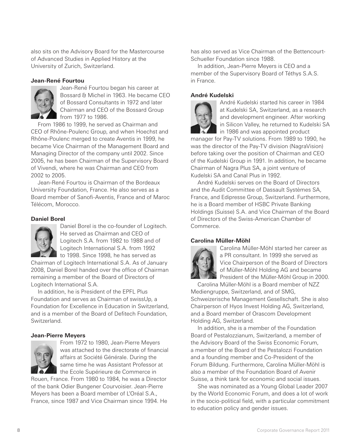also sits on the Advisory Board for the Mastercourse of Advanced Studies in Applied History at the University of Zurich, Switzerland.

# **Jean-René Fourtou**



Jean-René Fourtou began his career at Bossard & Michel in 1963. He became CEO of Bossard Consultants in 1972 and later Chairman and CEO of the Bossard Group from 1977 to 1986.

From 1986 to 1999, he served as Chairman and CEO of Rhône-Poulenc Group, and when Hoechst and Rhône-Poulenc merged to create Aventis in 1999, he became Vice Chairman of the Management Board and Managing Director of the company until 2002. Since 2005, he has been Chairman of the Supervisory Board of Vivendi, where he was Chairman and CEO from 2002 to 2005.

Jean-René Fourtou is Chairman of the Bordeaux University Foundation, France. He also serves as a Board member of Sanofi-Aventis, France and of Maroc Télécom, Morocco.

# **Daniel Borel**



Daniel Borel is the co-founder of Logitech. He served as Chairman and CEO of Logitech S.A. from 1982 to 1988 and of Logitech International S.A. from 1992 to 1998. Since 1998, he has served as

Chairman of Logitech International S.A. As of January 2008, Daniel Borel handed over the office of Chairman remaining a member of the Board of Directors of Logitech International S.A.

In addition, he is President of the EPFL Plus Foundation and serves as Chairman of swissUp, a Foundation for Excellence in Education in Switzerland, and is a member of the Board of Defitech Foundation, Switzerland.

# **Jean-Pierre Meyers**



From 1972 to 1980, Jean-Pierre Meyers was attached to the directorate of financial affairs at Société Générale. During the same time he was Assistant Professor at the Ecole Supérieure de Commerce in

Rouen, France. From 1980 to 1984, he was a Director of the bank Odier Bungener Courvoisier. Jean-Pierre Meyers has been a Board member of L'Oréal S.A., France, since 1987 and Vice Chairman since 1994. He has also served as Vice Chairman of the Bettencourt-Schueller Foundation since 1988.

In addition, Jean-Pierre Meyers is CEO and a member of the Supervisory Board of Téthys S.A.S. in France.

# **André Kudelski**



André Kudelski started his career in 1984 at Kudelski SA, Switzerland, as a research and development engineer. After working in Silicon Valley, he returned to Kudelski SA in 1986 and was appointed product

manager for Pay-TV solutions. From 1989 to 1990, he was the director of the Pay-TV division (NagraVision) before taking over the position of Chairman and CEO of the Kudelski Group in 1991. In addition, he became Chairman of Nagra Plus SA, a joint venture of Kudelski SA and Canal Plus in 1992.

André Kudelski serves on the Board of Directors and the Audit Committee of Dassault Systèmes SA, France, and Edipresse Group, Switzerland. Furthermore, he is a Board member of HSBC Private Banking Holdings (Suisse) S.A. and Vice Chairman of the Board of Directors of the Swiss-American Chamber of Commerce.

# **Carolina Müller-Möhl**



Carolina Müller-Möhl started her career as a PR consultant. In 1999 she served as Vice Chairperson of the Board of Directors of Müller-Möhl Holding AG and became President of the Müller-Möhl Group in 2000.

Carolina Müller-Möhl is a Board member of NZZ Mediengruppe, Switzerland, and of SMG, Schweizerische Management Gesellschaft. She is also Chairperson of Hyos Invest Holding AG, Switzerland, and a Board member of Orascom Development Holding AG, Switzerland.

In addition, she is a member of the Foundation Board of Pestalozzianum, Switzerland, a member of the Advisory Board of the Swiss Economic Forum, a member of the Board of the Pestalozzi Foundation and a founding member and Co-President of the Forum Bildung. Furthermore, Carolina Müller-Möhl is also a member of the Foundation Board of Avenir Suisse, a think tank for economic and social issues.

She was nominated as a Young Global Leader 2007 by the World Economic Forum, and does a lot of work in the socio-political field, with a particular commitment to education policy and gender issues.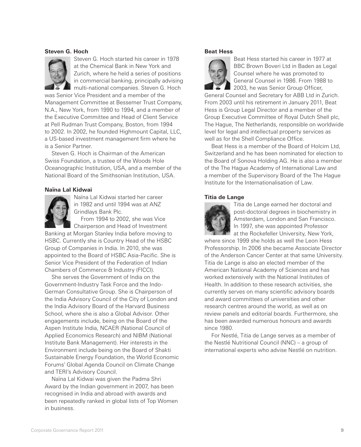#### **Steven G. Hoch**



Steven G. Hoch started his career in 1978 at the Chemical Bank in New York and Zurich, where he held a series of positions in commercial banking, principally advising multi-national companies. Steven G. Hoch

was Senior Vice President and a member of the Management Committee at Bessemer Trust Company, N.A., New York, from 1990 to 1994, and a member of the Executive Committee and Head of Client Service at Pell Rudman Trust Company, Boston, from 1994 to 2002. In 2002, he founded Highmount Capital, LLC, a US-based investment management firm where he is a Senior Partner.

Steven G. Hoch is Chairman of the American Swiss Foundation, a trustee of the Woods Hole Oceanographic Institution, USA, and a member of the National Board of the Smithsonian Institution, USA.

#### **Naïna Lal Kidwai**



Naïna Lal Kidwai started her career in 1982 and until 1994 was at ANZ Grindlays Bank Plc.

From 1994 to 2002, she was Vice Chairperson and Head of Investment

Banking at Morgan Stanley India before moving to HSBC. Currently she is Country Head of the HSBC Group of Companies in India. In 2010, she was appointed to the Board of HSBC Asia-Pacific. She is Senior Vice President of the Federation of Indian Chambers of Commerce & Industry (FICCI).

She serves the Government of India on the Government-Industry Task Force and the Indo-German Consultative Group. She is Chairperson of the India Advisory Council of the City of London and the India Advisory Board of the Harvard Business School, where she is also a Global Advisor. Other engagements include, being on the Board of the Aspen Institute India, NCAER (National Council of Applied Economics Research) and NIBM (National Institute Bank Management). Her interests in the Environment include being on the Board of Shakti Sustainable Energy Foundation, the World Economic Forums' Global Agenda Council on Climate Change and TERI's Advisory Council.

Naïna Lal Kidwai was given the Padma Shri Award by the Indian government in 2007, has been recognised in India and abroad with awards and been repeatedly ranked in global lists of Top Women in business.

#### **Beat Hess**



Beat Hess started his career in 1977 at BBC Brown Boveri Ltd in Baden as Legal Counsel where he was promoted to General Counsel in 1986. From 1988 to 2003, he was Senior Group Officer,

General Counsel and Secretary for ABB Ltd in Zurich. From 2003 until his retirement in January 2011, Beat Hess is Group Legal Director and a member of the Group Executive Committee of Royal Dutch Shell plc, The Hague, The Netherlands, responsible on worldwide level for legal and intellectual property services as well as for the Shell Compliance Office.

Beat Hess is a member of the Board of Holcim Ltd, Switzerland and he has been nominated for election to the Board of Sonova Holding AG. He is also a member of the The Hague Academy of International Law and a member of the Supervisory Board of the The Hague Institute for the Internationalisation of Law.

#### **Titia de Lange**



Titia de Lange earned her doctoral and post-doctoral degrees in biochemistry in Amsterdam, London and San Francisco. In 1997, she was appointed Professor **A** at the Rockefeller University, New York,

where since 1999 she holds as well the Leon Hess Professorship. In 2006 she became Associate Director of the Anderson Cancer Center at that same University. Titia de Lange is also an elected member of the American National Academy of Sciences and has worked extensively with the National Institutes of Health. In addition to these research activities, she currently serves on many scientific advisory boards and award committees of universities and other research centres around the world, as well as on review panels and editorial boards. Furthermore, she has been awarded numerous honours and awards since 1980.

For Nestlé, Titia de Lange serves as a member of the Nestlé Nutritional Council (NNC) – a group of international experts who advise Nestlé on nutrition.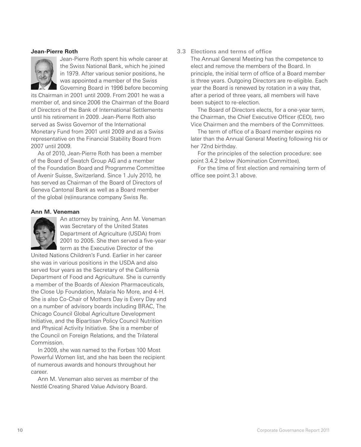#### **Jean-Pierre Roth**



Jean-Pierre Roth spent his whole career at the Swiss National Bank, which he joined in 1979. After various senior positions, he was appointed a member of the Swiss Governing Board in 1996 before becoming

its Chairman in 2001 until 2009. From 2001 he was a member of, and since 2006 the Chairman of the Board of Directors of the Bank of International Settlements until his retirement in 2009. Jean-Pierre Roth also served as Swiss Governor of the International Monetary Fund from 2001 until 2009 and as a Swiss representative on the Financial Stability Board from 2007 until 2009.

As of 2010, Jean-Pierre Roth has been a member of the Board of Swatch Group AG and a member of the Foundation Board and Programme Committee of Avenir Suisse, Switzerland. Since 1 July 2010, he has served as Chairman of the Board of Directors of Geneva Cantonal Bank as well as a Board member of the global (re)insurance company Swiss Re.

#### **Ann M. Veneman**



An attorney by training, Ann M. Veneman was Secretary of the United States Department of Agriculture (USDA) from 2001 to 2005. She then served a five-year term as the Executive Director of the

United Nations Children's Fund. Earlier in her career she was in various positions in the USDA and also served four years as the Secretary of the California Department of Food and Agriculture. She is currently a member of the Boards of Alexion Pharmaceuticals, the Close Up Foundation, Malaria No More, and 4-H. She is also Co-Chair of Mothers Day is Every Day and on a number of advisory boards including BRAC, The Chicago Council Global Agriculture Development Initiative, and the Bipartisan Policy Council Nutrition and Physical Activity Initiative. She is a member of the Council on Foreign Relations, and the Trilateral Commission.

In 2009, she was named to the Forbes 100 Most Powerful Women list, and she has been the recipient of numerous awards and honours throughout her career.

Ann M. Veneman also serves as member of the Nestlé Creating Shared Value Advisory Board.

# **3.3 Elections and terms of office**

The Annual General Meeting has the competence to elect and remove the members of the Board. In principle, the initial term of office of a Board member is three years. Outgoing Directors are re-eligible. Each year the Board is renewed by rotation in a way that, after a period of three years, all members will have been subject to re-election.

The Board of Directors elects, for a one-year term, the Chairman, the Chief Executive Officer (CEO), two Vice Chairmen and the members of the Committees.

The term of office of a Board member expires no later than the Annual General Meeting following his or her 72nd birthday.

For the principles of the selection procedure: see point 3.4.2 below (Nomination Committee).

For the time of first election and remaining term of office see point 3.1 above.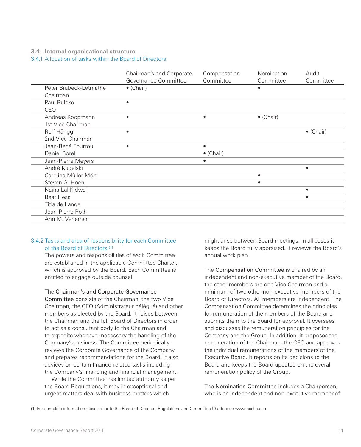#### **3.4 Internal organisational structure**

3.4.1 Allocation of tasks within the Board of Directors

|                        | Chairman's and Corporate<br>Governance Committee | Compensation<br>Committee | Nomination<br>Committee | Audit<br>Committee |
|------------------------|--------------------------------------------------|---------------------------|-------------------------|--------------------|
| Peter Brabeck-Letmathe | $\bullet$ (Chair)                                |                           |                         |                    |
| Chairman               |                                                  |                           |                         |                    |
| Paul Bulcke            |                                                  |                           |                         |                    |
| CEO                    |                                                  |                           |                         |                    |
| Andreas Koopmann       |                                                  |                           | $\bullet$ (Chair)       |                    |
| 1st Vice Chairman      |                                                  |                           |                         |                    |
| Rolf Hänggi            |                                                  |                           |                         | $\bullet$ (Chair)  |
| 2nd Vice Chairman      |                                                  |                           |                         |                    |
| Jean-René Fourtou      | ٠                                                | $\bullet$                 |                         |                    |
| Daniel Borel           |                                                  | $\bullet$ (Chair)         |                         |                    |
| Jean-Pierre Meyers     |                                                  | ٠                         |                         |                    |
| André Kudelski         |                                                  |                           |                         | $\bullet$          |
| Carolina Müller-Möhl   |                                                  |                           |                         |                    |
| Steven G. Hoch         |                                                  |                           | ٠                       |                    |
| Naïna Lal Kidwai       |                                                  |                           |                         | $\bullet$          |
| <b>Beat Hess</b>       |                                                  |                           |                         | $\bullet$          |
| Titia de Lange         |                                                  |                           |                         |                    |
| Jean-Pierre Roth       |                                                  |                           |                         |                    |
| Ann M. Veneman         |                                                  |                           |                         |                    |

# 3.4.2 Tasks and area of responsibility for each Committee of the Board of Directors (1)

The powers and responsibilities of each Committee are established in the applicable Committee Charter, which is approved by the Board. Each Committee is entitled to engage outside counsel.

The Chairman's and Corporate Governance

Committee consists of the Chairman, the two Vice Chairmen, the CEO (Administrateur délégué) and other members as elected by the Board. It liaises between the Chairman and the full Board of Directors in order to act as a consultant body to the Chairman and to expedite whenever necessary the handling of the Company's business. The Committee periodically reviews the Corporate Governance of the Company and prepares recommendations for the Board. It also advices on certain finance-related tasks including the Company's financing and financial management.

While the Committee has limited authority as per the Board Regulations, it may in exceptional and urgent matters deal with business matters which

might arise between Board meetings. In all cases it keeps the Board fully appraised. It reviews the Board's annual work plan.

The Compensation Committee is chaired by an independent and non-executive member of the Board, the other members are one Vice Chairman and a minimum of two other non-executive members of the Board of Directors. All members are independent. The Compensation Committee determines the principles for remuneration of the members of the Board and submits them to the Board for approval. It oversees and discusses the remuneration principles for the Company and the Group. In addition, it proposes the remuneration of the Chairman, the CEO and approves the individual remunerations of the members of the Executive Board. It reports on its decisions to the Board and keeps the Board updated on the overall remuneration policy of the Group.

The Nomination Committee includes a Chairperson, who is an independent and non-executive member of

(1) For complete information please refer to the Board of Directors Regulations and Committee Charters on www.nestle.com.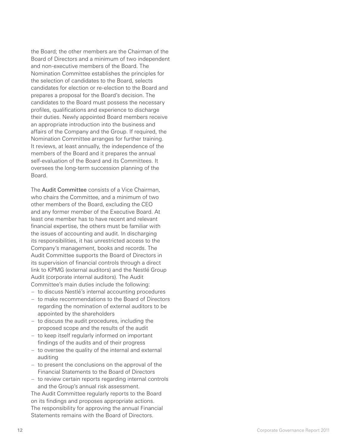the Board; the other members are the Chairman of the Board of Directors and a minimum of two independent and non-executive members of the Board. The Nomination Committee establishes the principles for the selection of candidates to the Board, selects candidates for election or re-election to the Board and prepares a proposal for the Board's decision. The candidates to the Board must possess the necessary profiles, qualifications and experience to discharge their duties. Newly appointed Board members receive an appropriate introduction into the business and affairs of the Company and the Group. If required, the Nomination Committee arranges for further training. It reviews, at least annually, the independence of the members of the Board and it prepares the annual self-evaluation of the Board and its Committees. It oversees the long-term succession planning of the Board.

The Audit Committee consists of a Vice Chairman, who chairs the Committee, and a minimum of two other members of the Board, excluding the CEO and any former member of the Executive Board. At least one member has to have recent and relevant financial expertise, the others must be familiar with the issues of accounting and audit. In discharging its responsibilities, it has unrestricted access to the Company's management, books and records. The Audit Committee supports the Board of Directors in its supervision of financial controls through a direct link to KPMG (external auditors) and the Nestlé Group Audit (corporate internal auditors). The Audit Committee's main duties include the following:

- to discuss Nestlé's internal accounting procedures
- to make recommendations to the Board of Directors regarding the nomination of external auditors to be appointed by the shareholders
- to discuss the audit procedures, including the proposed scope and the results of the audit
- to keep itself regularly informed on important findings of the audits and of their progress
- to oversee the quality of the internal and external auditing
- to present the conclusions on the approval of the Financial Statements to the Board of Directors
- to review certain reports regarding internal controls and the Group's annual risk assessment.

The Audit Committee regularly reports to the Board on its findings and proposes appropriate actions. The responsibility for approving the annual Financial Statements remains with the Board of Directors.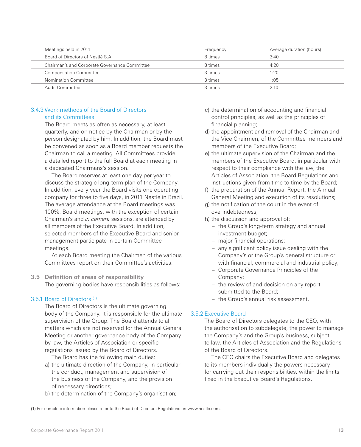# 3.4.3 Work methods of the Board of Directors and its Committees

The Board meets as often as necessary, at least quarterly, and on notice by the Chairman or by the person designated by him. In addition, the Board must be convened as soon as a Board member requests the Chairman to call a meeting. All Committees provide a detailed report to the full Board at each meeting in a dedicated Chairmans's session.

The Board reserves at least one day per year to discuss the strategic long-term plan of the Company. In addition, every year the Board visits one operating company for three to five days, in 2011 Nestlé in Brazil. The average attendance at the Board meetings was 100%. Board meetings, with the exception of certain Chairman's and in camera sessions, are attended by all members of the Executive Board. In addition, selected members of the Executive Board and senior management participate in certain Committee meetings.

At each Board meeting the Chairmen of the various Committees report on their Committee's activities.

**3.5 Definition of areas of responsibility** The governing bodies have responsibilities as follows:

# 3.5.1 Board of Directors (1)

The Board of Directors is the ultimate governing body of the Company. It is responsible for the ultimate supervision of the Group. The Board attends to all matters which are not reserved for the Annual General Meeting or another governance body of the Company by law, the Articles of Association or specific regulations issued by the Board of Directors.

The Board has the following main duties:

- a) the ultimate direction of the Company, in particular the conduct, management and supervision of the business of the Company, and the provision of necessary directions;
- b) the determination of the Company's organisation;
- c) the determination of accounting and financial control principles, as well as the principles of financial planning;
- d) the appointment and removal of the Chairman and the Vice Chairmen, of the Committee members and members of the Executive Board;
- e) the ultimate supervision of the Chairman and the members of the Executive Board, in particular with respect to their compliance with the law, the Articles of Association, the Board Regulations and instructions given from time to time by the Board;
- f) the preparation of the Annual Report, the Annual General Meeting and execution of its resolutions;
- g) the notification of the court in the event of overindebtedness;
- h) the discussion and approval of:
	- the Group's long-term strategy and annual investment budget;
	- major financial operations;
	- any significant policy issue dealing with the Company's or the Group's general structure or with financial, commercial and industrial policy;
	- Corporate Governance Principles of the Company;
	- the review of and decision on any report submitted to the Board;
	- the Group's annual risk assessment.

# 3.5.2 Executive Board

The Board of Directors delegates to the CEO, with the authorisation to subdelegate, the power to manage the Company's and the Group's business, subject to law, the Articles of Association and the Regulations of the Board of Directors.

The CEO chairs the Executive Board and delegates to its members individually the powers necessary for carrying out their responsibilities, within the limits fixed in the Executive Board's Regulations.

(1) For complete information please refer to the Board of Directors Regulations on www.nestle.com.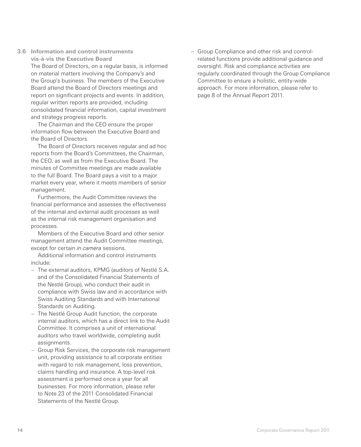**3.6 Information and control instruments vis-à-vis the Executive Board** The Board of Directors, on a regular basis, is informed on material matters involving the Company's and the Group's business. The members of the Executive Board attend the Board of Directors meetings and report on significant projects and events. In addition, regular written reports are provided, including consolidated financial information, capital investment and strategy progress reports.

The Chairman and the CEO ensure the proper information flow between the Executive Board and the Board of Directors.

The Board of Directors receives regular and ad hoc reports from the Board's Committees, the Chairman, the CEO, as well as from the Executive Board. The minutes of Committee meetings are made available to the full Board. The Board pays a visit to a major market every year, where it meets members of senior management.

Furthermore, the Audit Committee reviews the financial performance and assesses the effectiveness of the internal and external audit processes as well as the internal risk management organisation and processes.

Members of the Executive Board and other senior management attend the Audit Committee meetings, except for certain *in camera* sessions.

Additional information and control instruments include:

- The external auditors, KPMG (auditors of Nestlé S.A. and of the Consolidated Financial Statements of the Nestlé Group), who conduct their audit in compliance with Swiss law and in accordance with Swiss Auditing Standards and with International Standards on Auditing.
- The Nestlé Group Audit function, the corporate internal auditors, which has a direct link to the Audit Committee. It comprises a unit of international auditors who travel worldwide, completing audit assignments.
- Group Risk Services, the corporate risk management unit, providing assistance to all corporate entities with regard to risk management, loss prevention, claims handling and insurance. A top-level risk assessment is performed once a year for all businesses. For more information, please refer to Note 23 of the 2011 Consolidated Financial Statements of the Nestlé Group.

– Group Compliance and other risk and controlrelated functions provide additional guidance and oversight. Risk and compliance activities are regularly coordinated through the Group Compliance Committee to ensure a holistic, entity-wide approach. For more information, please refer to page 8 of the Annual Report 2011.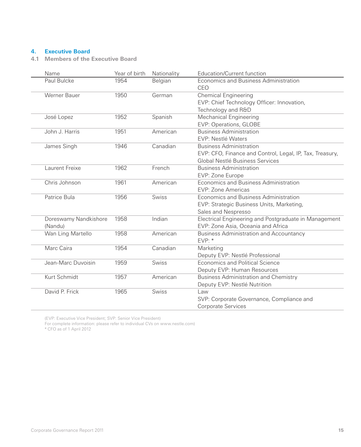# **4. Executive Board**

**4.1 Members of the Executive Board**

| Name                             | Year of birth | Nationality  | Education/Current function                                                                                                    |
|----------------------------------|---------------|--------------|-------------------------------------------------------------------------------------------------------------------------------|
| Paul Bulcke                      | 1954          | Belgian      | Economics and Business Administration<br>CEO                                                                                  |
| <b>Werner Bauer</b>              | 1950          | German       | <b>Chemical Engineering</b><br>EVP: Chief Technology Officer: Innovation,<br>Technology and R&D                               |
| José Lopez                       | 1952          | Spanish      | Mechanical Engineering<br>EVP: Operations, GLOBE                                                                              |
| John J. Harris                   | 1951          | American     | <b>Business Administration</b><br>EVP: Nestlé Waters                                                                          |
| James Singh                      | 1946          | Canadian     | <b>Business Administration</b><br>EVP: CFO, Finance and Control, Legal, IP, Tax, Treasury,<br>Global Nestlé Business Services |
| Laurent Freixe                   | 1962          | French       | <b>Business Administration</b><br>EVP: Zone Europe                                                                            |
| Chris Johnson                    | 1961          | American     | Economics and Business Administration<br>EVP: Zone Americas                                                                   |
| Patrice Bula                     | 1956          | <b>Swiss</b> | Economics and Business Administration<br>EVP: Strategic Business Units, Marketing,<br>Sales and Nespresso                     |
| Doreswamy Nandkishore<br>(Nandu) | 1958          | Indian       | Electrical Engineering and Postgraduate in Management<br>EVP: Zone Asia, Oceania and Africa                                   |
| Wan Ling Martello                | 1958          | American     | <b>Business Administration and Accountancy</b><br>EVP:                                                                        |
| Marc Caira                       | 1954          | Canadian     | Marketing<br>Deputy EVP: Nestlé Professional                                                                                  |
| Jean-Marc Duvoisin               | 1959          | Swiss        | Economics and Political Science<br>Deputy EVP: Human Resources                                                                |
| Kurt Schmidt                     | 1957          | American     | <b>Business Administration and Chemistry</b><br>Deputy EVP: Nestlé Nutrition                                                  |
| David P. Frick                   | 1965          | Swiss        | Law<br>SVP: Corporate Governance, Compliance and<br><b>Corporate Services</b>                                                 |

(EVP: Executive Vice President; SVP: Senior Vice President)

For complete information: please refer to individual CVs on www.nestle.com)

\* CFO as of 1 April 2012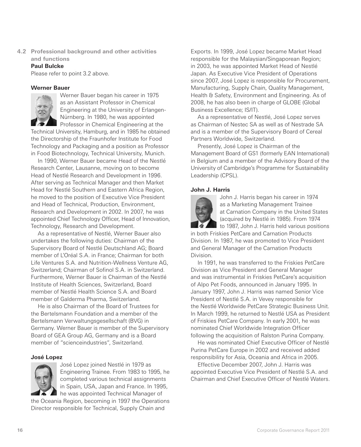**4.2 Professional background and other activities and functions**

# **Paul Bulcke**

Please refer to point 3.2 above.

# **Werner Bauer**



Werner Bauer began his career in 1975 as an Assistant Professor in Chemical Engineering at the University of Erlangen-Nürnberg. In 1980, he was appointed Professor in Chemical Engineering at the

Technical University, Hamburg, and in 1985 he obtained the Directorship of the Fraunhofer Institute for Food Technology and Packaging and a position as Professor in Food Biotechnology, Technical University, Munich.

In 1990, Werner Bauer became Head of the Nestlé Research Center, Lausanne, moving on to become Head of Nestlé Research and Development in 1996. After serving as Technical Manager and then Market Head for Nestlé Southern and Eastern Africa Region, he moved to the position of Executive Vice President and Head of Technical, Production, Environment, Research and Development in 2002. In 2007, he was appointed Chief Technology Officer, Head of Innovation, Technology, Research and Development.

As a representative of Nestlé, Werner Bauer also undertakes the following duties: Chairman of the Supervisory Board of Nestlé Deutschland AG; Board member of L'Oréal S.A. in France; Chairman for both Life Ventures S.A. and Nutrition-Wellness Venture AG, Switzerland; Chairman of Sofinol S.A. in Switzerland. Furthermore, Werner Bauer is Chairman of the Nestlé Institute of Health Sciences, Switzerland, Board member of Nestlé Health Science S.A. and Board member of Galderma Pharma, Switzerland.

He is also Chairman of the Board of Trustees for the Bertelsmann Foundation and a member of the Bertelsmann Verwaltungsgesellschaft (BVG) in Germany. Werner Bauer is member of the Supervisory Board of GEA Group AG, Germany and is a Board member of "scienceindustries", Switzerland.

# **José Lopez**



José Lopez joined Nestlé in 1979 as Engineering Trainee. From 1983 to 1995, he completed various technical assignments in Spain, USA, Japan and France. In 1995, he was appointed Technical Manager of

the Oceania Region, becoming in 1997 the Operations Director responsible for Technical, Supply Chain and

Exports. In 1999, José Lopez became Market Head responsible for the Malaysian/Singaporean Region; in 2003, he was appointed Market Head of Nestlé Japan. As Executive Vice President of Operations since 2007, José Lopez is responsible for Procurement, Manufacturing, Supply Chain, Quality Management, Health & Safety, Environment and Engineering. As of 2008, he has also been in charge of GLOBE (Global Business Excellence; IS/IT).

As a representative of Nestlé, José Lopez serves as Chairman of Nestec SA as well as of Nestrade SA and is a member of the Supervisory Board of Cereal Partners Worldwide, Switzerland.

Presently, José Lopez is Chairman of the Management Board of GS1 (formerly EAN International) in Belgium and a member of the Advisory Board of the University of Cambridge's Programme for Sustainability Leadership (CPSL).

# **John J. Harris**



John J. Harris began his career in 1974 as a Marketing Management Trainee at Carnation Company in the United States (acquired by Nestlé in 1985). From 1974 to 1987, John J. Harris held various positions

in both Friskies PetCare and Carnation Products Division. In 1987, he was promoted to Vice President and General Manager of the Carnation Products Division.

In 1991, he was transferred to the Friskies PetCare Division as Vice President and General Manager and was instrumental in Friskies PetCare's acquisition of Alpo Pet Foods, announced in January 1995. In January 1997, John J. Harris was named Senior Vice President of Nestlé S.A. in Vevey responsible for the Nestlé Worldwide PetCare Strategic Business Unit. In March 1999, he returned to Nestlé USA as President of Friskies PetCare Company. In early 2001, he was nominated Chief Worldwide Integration Officer following the acquisition of Ralston Purina Company.

He was nominated Chief Executive Officer of Nestlé Purina PetCare Europe in 2002 and received added responsibility for Asia, Oceania and Africa in 2005.

Effective December 2007, John J. Harris was appointed Executive Vice President of Nestlé S.A. and Chairman and Chief Executive Officer of Nestlé Waters.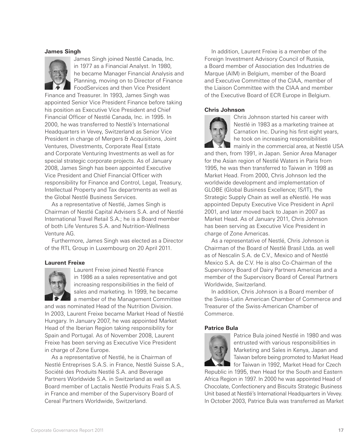#### **James Singh**



James Singh joined Nestlé Canada, Inc. in 1977 as a Financial Analyst. In 1980, he became Manager Financial Analysis and Planning, moving on to Director of Finance FoodServices and then Vice President

Finance and Treasurer. In 1993, James Singh was appointed Senior Vice President Finance before taking his position as Executive Vice President and Chief Financial Officer of Nestlé Canada, Inc. in 1995. In 2000, he was transferred to Nestlé's International Headquarters in Vevey, Switzerland as Senior Vice President in charge of Mergers & Acquisitions, Joint Ventures, Divestments, Corporate Real Estate and Corporate Venturing Investments as well as for special strategic corporate projects. As of January 2008, James Singh has been appointed Executive Vice President and Chief Financial Officer with responsibility for Finance and Control, Legal, Treasury, Intellectual Property and Tax departments as well as the Global Nestlé Business Services.

As a representative of Nestlé, James Singh is Chairman of Nestlé Capital Advisers S.A. and of Nestlé International Travel Retail S.A.; he is a Board member of both Life Ventures S.A. and Nutrition-Wellness Venture AG.

Furthermore, James Singh was elected as a Director of the RTL Group in Luxembourg on 20 April 2011.

# **Laurent Freixe**



Laurent Freixe joined Nestlé France in 1986 as a sales representative and got increasing responsibilities in the field of sales and marketing. In 1999, he became a member of the Management Committee

and was nominated Head of the Nutrition Division. In 2003, Laurent Freixe became Market Head of Nestlé Hungary. In January 2007, he was appointed Market Head of the Iberian Region taking responsibility for Spain and Portugal. As of November 2008, Laurent Freixe has been serving as Executive Vice President in charge of Zone Europe.

As a representative of Nestlé, he is Chairman of Nestlé Entreprises S.A.S. in France, Nestlé Suisse S.A., Société des Produits Nestlé S.A. and Beverage Partners Worldwide S.A. in Switzerland as well as Board member of Lactalis Nestlé Produits Frais S.A.S. in France and member of the Supervisory Board of Cereal Partners Worldwide, Switzerland.

In addition, Laurent Freixe is a member of the Foreign Investment Advisory Council of Russia, a Board member of Association des Industries de Marque (AIM) in Belgium, member of the Board and Executive Committee of the CIAA, member of the Liaison Committee with the CIAA and member of the Executive Board of ECR Europe in Belgium.

#### **Chris Johnson**



Chris Johnson started his career with Nestlé in 1983 as a marketing trainee at Carnation Inc. During his first eight years, he took on increasing responsibilities mainly in the commercial area, at Nestlé USA

and then, from 1991, in Japan. Senior Area Manager for the Asian region of Nestlé Waters in Paris from 1995, he was then transferred to Taiwan in 1998 as Market Head. From 2000, Chris Johnson led the worldwide development and implementation of GLOBE (Global Business Excellence; IS/IT), the Strategic Supply Chain as well as eNestlé. He was appointed Deputy Executive Vice President in April 2001, and later moved back to Japan in 2007 as Market Head. As of January 2011, Chris Johnson has been serving as Executive Vice President in charge of Zone Americas.

As a representative of Nestlé, Chris Johnson is Chairman of the Board of Nestlé Brasil Ltda. as well as of Nescalin S.A. de C.V., Mexico and of Nestlé Mexico S.A. de C.V. He is also Co-Chairman of the Supervisory Board of Dairy Partners Americas and a member of the Supervisory Board of Cereal Partners Worldwide, Switzerland.

In addition, Chris Johnson is a Board member of the Swiss-Latin American Chamber of Commerce and Treasurer of the Swiss-American Chamber of Commerce.

# **Patrice Bula**



Patrice Bula joined Nestlé in 1980 and was entrusted with various responsibilities in Marketing and Sales in Kenya, Japan and Taiwan before being promoted to Market Head **for Taiwan in 1992, Market Head for Czech** 

Republic in 1995, then Head for the South and Eastern Africa Region in 1997. In 2000 he was appointed Head of Chocolate, Confectionery and Biscuits Strategic Business Unit based at Nestlé's International Headquarters in Vevey. In October 2003, Patrice Bula was transferred as Market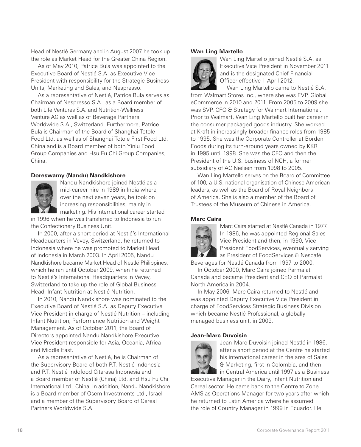Head of Nestlé Germany and in August 2007 he took up the role as Market Head for the Greater China Region.

As of May 2010, Patrice Bula was appointed to the Executive Board of Nestlé S.A. as Executive Vice President with responsibility for the Strategic Business Units, Marketing and Sales, and Nespresso.

As a representative of Nestlé, Patrice Bula serves as Chairman of Nespresso S.A., as a Board member of both Life Ventures S.A. and Nutrition-Wellness Venture AG as well as of Beverage Partners Worldwide S.A., Switzerland. Furthermore, Patrice Bula is Chairman of the Board of Shanghai Totole Food Ltd. as well as of Shanghai Totole First Food Ltd, China and is a Board member of both Yinlu Food Group Companies and Hsu Fu Chi Group Companies, China.

#### **Doreswamy (Nandu) Nandkishore**



Nandu Nandkishore joined Nestlé as a mid-career hire in 1989 in India where, over the next seven years, he took on increasing responsibilities, mainly in marketing. His international career started

in 1996 when he was transferred to Indonesia to run the Confectionery Business Unit.

In 2000, after a short period at Nestlé's International Headquarters in Vevey, Switzerland, he returned to Indonesia where he was promoted to Market Head of Indonesia in March 2003. In April 2005, Nandu Nandkishore became Market Head of Nestlé Philippines, which he ran until October 2009, when he returned to Nestlé's International Headquarters in Vevey, Switzerland to take up the role of Global Business Head, Infant Nutrition at Nestlé Nutrition.

In 2010, Nandu Nandkishore was nominated to the Executive Board of Nestlé S.A. as Deputy Executive Vice President in charge of Nestlé Nutrition – including Infant Nutrition, Performance Nutrition and Weight Management. As of October 2011, the Board of Directors appointed Nandu Nandkishore Executive Vice President responsible for Asia, Oceania, Africa and Middle East.

As a representative of Nestlé, he is Chairman of the Supervisory Board of both P.T. Nestlé Indonesia and P.T. Nestlé Indofood Citarasa Indonesia and a Board member of Nestlé (China) Ltd. and Hsu Fu Chi International Ltd., China. In addition, Nandu Nandkishore is a Board member of Osem Investments Ltd., Israel and a member of the Supervisory Board of Cereal Partners Worldwide S.A.

# **Wan Ling Martello**



Wan Ling Martello joined Nestlé S.A. as Executive Vice President in November 2011 and is the designated Chief Financial Officer effective 1 April 2012.

Wan Ling Martello came to Nestlé S.A. from Walmart Stores Inc., where she was EVP, Global eCommerce in 2010 and 2011. From 2005 to 2009 she was SVP, CFO & Strategy for Walmart International. Prior to Walmart, Wan Ling Martello built her career in the consumer packaged goods industry. She worked at Kraft in increasingly broader finance roles from 1985 to 1995. She was the Corporate Controller at Borden Foods during its turn-around years owned by KKR in 1995 until 1998. She was the CFO and then the President of the U.S. business of NCH, a former subsidiary of AC Nielsen from 1998 to 2005.

Wan Ling Martello serves on the Board of Committee of 100, a U.S. national organisation of Chinese American leaders, as well as the Board of Royal Neighbors of America. She is also a member of the Board of Trustees of the Museum of Chinese in America.

#### **Marc Caira**



Marc Caira started at Nestlé Canada in 1977. In 1986, he was appointed Regional Sales Vice President and then, in 1990, Vice President FoodServices, eventually serving as President of FoodServices & Nescafé

Beverages for Nestlé Canada from 1997 to 2000.

In October 2000, Marc Caira joined Parmalat Canada and became President and CEO of Parmalat North America in 2004.

In May 2006, Marc Caira returned to Nestlé and was appointed Deputy Executive Vice President in charge of FoodServices Strategic Business Division which became Nestlé Professional, a globally managed business unit, in 2009.

#### **Jean-Marc Duvoisin**



Jean-Marc Duvoisin joined Nestlé in 1986, after a short period at the Centre he started his international career in the area of Sales & Marketing, first in Colombia, and then in Central America until 1997 as a Business

Executive Manager in the Dairy, Infant Nutrition and Cereal sector. He came back to the Centre to Zone AMS as Operations Manager for two years after which he returned to Latin America where he assumed the role of Country Manager in 1999 in Ecuador. He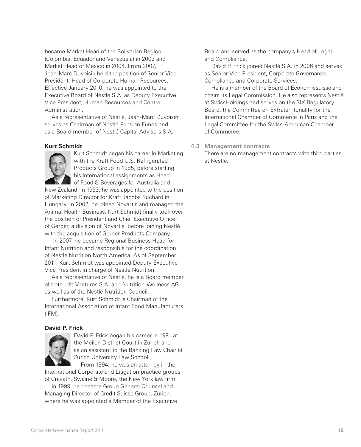became Market Head of the Bolivarian Region (Colombia, Ecuador and Venezuela) in 2003 and Market Head of Mexico in 2004. From 2007, Jean-Marc Duvoisin held the position of Senior Vice President, Head of Corporate Human Resources. Effective January 2010, he was appointed to the Executive Board of Nestlé S.A. as Deputy Executive Vice President, Human Resources and Centre Administration.

As a representative of Nestlé, Jean-Marc Duvoisin serves as Chairman of Nestlé Pension Funds and as a Board member of Nestlé Capital Advisers S.A.

# **Kurt Schmidt**



Kurt Schmidt began his career in Marketing with the Kraft Food U.S. Refrigerated Products Group in 1985, before starting his international assignments as Head of Food & Beverages for Australia and

New Zealand. In 1993, he was appointed to the position of Marketing Director for Kraft Jacobs Suchard in Hungary. In 2002, he joined Novartis and managed the Animal Health Business. Kurt Schmidt finally took over the position of President and Chief Executive Officer of Gerber, a division of Novartis, before joining Nestlé with the acquisition of Gerber Products Company.

 In 2007, he became Regional Business Head for Infant Nutrition and responsible for the coordination of Nestlé Nutrition North America. As of September 2011, Kurt Schmidt was appointed Deputy Executive Vice President in charge of Nestlé Nutrition.

As a representative of Nestlé, he is a Board member of both Life Ventures S.A. and Nutrition-Wellness AG as well as of the Nestlé Nutrition Council.

Furthermore, Kurt Schmidt is Chairman of the International Association of Infant Food Manufacturers  $(IFM)$ .

# **David P. Frick**



David P. Frick began his career in 1991 at the Meilen District Court in Zurich and as an assistant to the Banking Law Chair at Zurich University Law School.

From 1994, he was an attorney in the International Corporate and Litigation practice groups of Cravath, Swaine & Moore, the New York law firm.

In 1999, he became Group General Counsel and Managing Director of Credit Suisse Group, Zurich, where he was appointed a Member of the Executive

Board and served as the company's Head of Legal and Compliance.

David P. Frick joined Nestlé S.A. in 2006 and serves as Senior Vice President, Corporate Governance, Compliance and Corporate Services.

He is a member of the Board of Economiesuisse and chairs its Legal Commission. He also represents Nestlé at SwissHoldings and serves on the SIX Regulatory Board, the Committee on Extraterritoriality for the International Chamber of Commerce in Paris and the Legal Committee for the Swiss-American Chamber of Commerce.

#### **4.3 Management contracts**

There are no management contracts with third parties at Nestlé.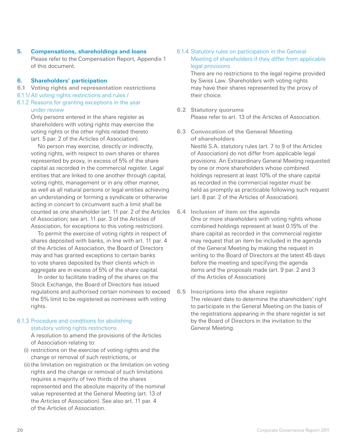**5. Compensations, shareholdings and loans** Please refer to the Compensation Report, Appendix 1 of this document.

# **6. Shareholders' participation**

- **6.1 Voting rights and representation restrictions**
- 6.1.1/ All voting rights restrictions and rules /
- 6.1.2 Reasons for granting exceptions in the year under review

Only persons entered in the share register as shareholders with voting rights may exercise the voting rights or the other rights related thereto (art. 5 par. 2 of the Articles of Association).

No person may exercise, directly or indirectly, voting rights, with respect to own shares or shares represented by proxy, in excess of 5% of the share capital as recorded in the commercial register. Legal entities that are linked to one another through capital, voting rights, management or in any other manner, as well as all natural persons or legal entities achieving an understanding or forming a syndicate or otherwise acting in concert to circumvent such a limit shall be counted as one shareholder (art. 11 par. 2 of the Articles of Association; see art. 11 par. 3 of the Articles of Association, for exceptions to this voting restriction).

To permit the exercise of voting rights in respect of shares deposited with banks, in line with art. 11 par. 4 of the Articles of Association, the Board of Directors may and has granted exceptions to certain banks to vote shares deposited by their clients which in aggregate are in excess of 5% of the share capital.

In order to facilitate trading of the shares on the Stock Exchange, the Board of Directors has issued regulations and authorised certain nominees to exceed the 5% limit to be registered as nominees with voting rights.

# 6.1.3 Procedure and conditions for abolishing statutory voting rights restrictions

A resolution to amend the provisions of the Articles of Association relating to:

- (i) restrictions on the exercise of voting rights and the change or removal of such restrictions, or
- (ii) the limitation on registration or the limitation on voting rights and the change or removal of such limitations requires a majority of two thirds of the shares represented and the absolute majority of the nominal value represented at the General Meeting (art. 13 of the Articles of Association). See also art. 11 par. 4 of the Articles of Association.

# 6.1.4 Statutory rules on participation in the General Meeting of shareholders if they differ from applicable legal provisions

There are no restrictions to the legal regime provided by Swiss Law. Shareholders with voting rights may have their shares represented by the proxy of their choice.

- **6.2 Statutory quorums** Please refer to art. 13 of the Articles of Association.
- **6.3 Convocation of the General Meeting of shareholders**

Nestlé S.A. statutory rules (art. 7 to 9 of the Articles of Association) do not differ from applicable legal provisions. An Extraordinary General Meeting requested by one or more shareholders whose combined holdings represent at least 10% of the share capital as recorded in the commercial register must be held as promptly as practicable following such request (art. 8 par. 2 of the Articles of Association).

- **6.4 Inclusion of item on the agenda** One or more shareholders with voting rights whose combined holdings represent at least 0.15% of the share capital as recorded in the commercial register may request that an item be included in the agenda of the General Meeting by making the request in writing to the Board of Directors at the latest 45 days before the meeting and specifying the agenda items and the proposals made (art. 9 par. 2 and 3 of the Articles of Association).
- **6.5 Inscriptions into the share register** The relevant date to determine the shareholders' right to participate in the General Meeting on the basis of the registrations appearing in the share register is set by the Board of Directors in the invitation to the General Meeting.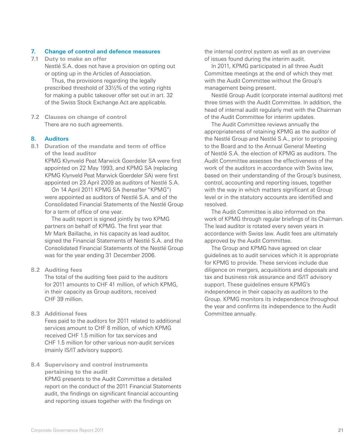# **7. Change of control and defence measures**

**7.1 Duty to make an offer** Nestlé S.A. does not have a provision on opting out or opting up in the Articles of Association.

Thus, the provisions regarding the legally prescribed threshold of 331/3% of the voting rights for making a public takeover offer set out in art. 32 of the Swiss Stock Exchange Act are applicable.

**7.2 Clauses on change of control** There are no such agreements.

# **8. Auditors**

**8.1 Duration of the mandate and term of office of the lead auditor**

> KPMG Klynveld Peat Marwick Goerdeler SA were first appointed on 22 May 1993, and KPMG SA (replacing KPMG Klynveld Peat Marwick Goerdeler SA) were first appointed on 23 April 2009 as auditors of Nestlé S.A.

On 14 April 2011 KPMG SA (hereafter "KPMG") were appointed as auditors of Nestlé S.A. and of the Consolidated Financial Statements of the Nestlé Group for a term of office of one year.

The audit report is signed jointly by two KPMG partners on behalf of KPMG. The first year that Mr Mark Baillache, in his capacity as lead auditor, signed the Financial Statements of Nestlé S.A. and the Consolidated Financial Statements of the Nestlé Group was for the year ending 31 December 2006.

**8.2 Auditing fees**

The total of the auditing fees paid to the auditors for 2011 amounts to CHF 41 million, of which KPMG, in their capacity as Group auditors, received CHF 39 million.

**8.3 Additional fees**

Fees paid to the auditors for 2011 related to additional services amount to CHF 8 million, of which KPMG received CHF 1.5 million for tax services and CHF 1.5 million for other various non-audit services (mainly IS/IT advisory support).

**8.4 Supervisory and control instruments pertaining to the audit** KPMG presents to the Audit Committee a detailed report on the conduct of the 2011 Financial Statements audit, the findings on significant financial accounting and reporting issues together with the findings on

the internal control system as well as an overview of issues found during the interim audit.

In 2011, KPMG participated in all three Audit Committee meetings at the end of which they met with the Audit Committee without the Group's management being present.

Nestlé Group Audit (corporate internal auditors) met three times with the Audit Committee. In addition, the head of internal audit regularly met with the Chairman of the Audit Committee for interim updates.

The Audit Committee reviews annually the appropriateness of retaining KPMG as the auditor of the Nestlé Group and Nestlé S.A., prior to proposing to the Board and to the Annual General Meeting of Nestlé S.A. the election of KPMG as auditors. The Audit Committee assesses the effectiveness of the work of the auditors in accordance with Swiss law, based on their understanding of the Group's business, control, accounting and reporting issues, together with the way in which matters significant at Group level or in the statutory accounts are identified and resolved.

The Audit Committee is also informed on the work of KPMG through regular briefings of its Chairman. The lead auditor is rotated every seven years in accordance with Swiss law. Audit fees are ultimately approved by the Audit Committee.

The Group and KPMG have agreed on clear guidelines as to audit services which it is appropriate for KPMG to provide. These services include due diligence on mergers, acquisitions and disposals and tax and business risk assurance and IS/IT advisory support. These guidelines ensure KPMG's independence in their capacity as auditors to the Group. KPMG monitors its independence throughout the year and confirms its independence to the Audit Committee annually.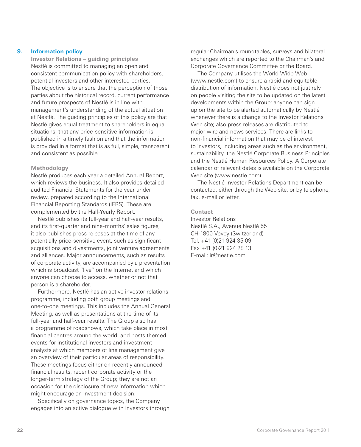# **9. Information policy**

 **Investor Relations – guiding principles** Nestlé is committed to managing an open and consistent communication policy with shareholders, potential investors and other interested parties. The objective is to ensure that the perception of those parties about the historical record, current performance and future prospects of Nestlé is in line with management's understanding of the actual situation at Nestlé. The guiding principles of this policy are that Nestlé gives equal treatment to shareholders in equal situations, that any price-sensitive information is published in a timely fashion and that the information is provided in a format that is as full, simple, transparent and consistent as possible.

#### **Methodology**

Nestlé produces each year a detailed Annual Report, which reviews the business. It also provides detailed audited Financial Statements for the year under review, prepared according to the International Financial Reporting Standards (IFRS). These are complemented by the Half-Yearly Report.

Nestlé publishes its full-year and half-year results, and its first-quarter and nine-months' sales figures; it also publishes press releases at the time of any potentially price-sensitive event, such as significant acquisitions and divestments, joint venture agreements and alliances. Major announcements, such as results of corporate activity, are accompanied by a presentation which is broadcast "live" on the Internet and which anyone can choose to access, whether or not that person is a shareholder.

Furthermore, Nestlé has an active investor relations programme, including both group meetings and one-to-one meetings. This includes the Annual General Meeting, as well as presentations at the time of its full-year and half-year results. The Group also has a programme of roadshows, which take place in most financial centres around the world, and hosts themed events for institutional investors and investment analysts at which members of line management give an overview of their particular areas of responsibility. These meetings focus either on recently announced financial results, recent corporate activity or the longer-term strategy of the Group; they are not an occasion for the disclosure of new information which might encourage an investment decision.

Specifically on governance topics, the Company engages into an active dialogue with investors through regular Chairman's roundtables, surveys and bilateral exchanges which are reported to the Chairman's and Corporate Governance Committee or the Board.

The Company utilises the World Wide Web (www.nestle.com) to ensure a rapid and equitable distribution of information. Nestlé does not just rely on people visiting the site to be updated on the latest developments within the Group: anyone can sign up on the site to be alerted automatically by Nestlé whenever there is a change to the Investor Relations Web site; also press releases are distributed to major wire and news services. There are links to non-financial information that may be of interest to investors, including areas such as the environment, sustainability, the Nestlé Corporate Business Principles and the Nestlé Human Resources Policy. A Corporate calendar of relevant dates is available on the Corporate Web site (www.nestle.com).

The Nestlé Investor Relations Department can be contacted, either through the Web site, or by telephone, fax, e-mail or letter.

#### **Contact**

Investor Relations Nestlé S.A., Avenue Nestlé 55 CH-1800 Vevey (Switzerland) Tel. +41 (0)21 924 35 09 Fax +41 (0)21 924 28 13 E-mail: ir@nestle.com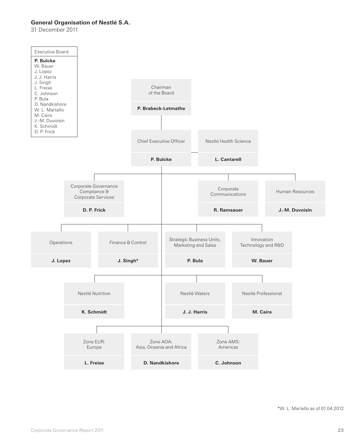# **General Organisation of Nestlé S.A.**

31 December 2011

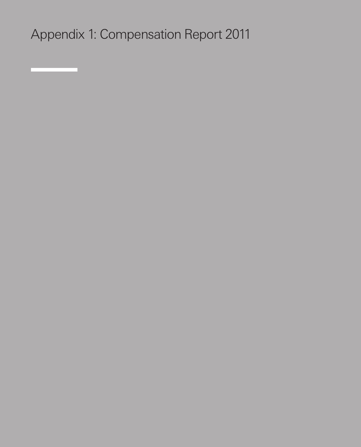Appendix 1: Compensation Report 2011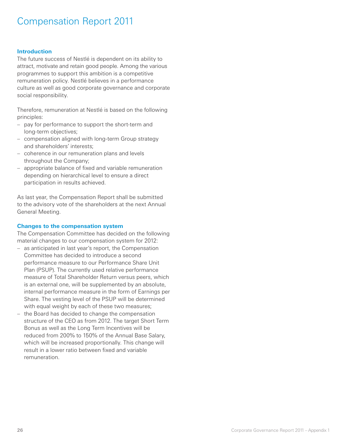# Compensation Report 2011

# **Introduction**

The future success of Nestlé is dependent on its ability to attract, motivate and retain good people. Among the various programmes to support this ambition is a competitive remuneration policy. Nestlé believes in a performance culture as well as good corporate governance and corporate social responsibility.

Therefore, remuneration at Nestlé is based on the following principles:

- pay for performance to support the short-term and long-term objectives;
- compensation aligned with long-term Group strategy and shareholders' interests;
- coherence in our remuneration plans and levels throughout the Company;
- appropriate balance of fixed and variable remuneration depending on hierarchical level to ensure a direct participation in results achieved.

As last year, the Compensation Report shall be submitted to the advisory vote of the shareholders at the next Annual General Meeting.

# **Changes to the compensation system**

The Compensation Committee has decided on the following material changes to our compensation system for 2012:

- as anticipated in last year's report, the Compensation Committee has decided to introduce a second performance measure to our Performance Share Unit Plan (PSUP). The currently used relative performance measure of Total Shareholder Return versus peers, which is an external one, will be supplemented by an absolute, internal performance measure in the form of Earnings per Share. The vesting level of the PSUP will be determined with equal weight by each of these two measures;
- the Board has decided to change the compensation structure of the CEO as from 2012. The target Short Term Bonus as well as the Long Term Incentives will be reduced from 200% to 150% of the Annual Base Salary, which will be increased proportionally. This change will result in a lower ratio between fixed and variable remuneration.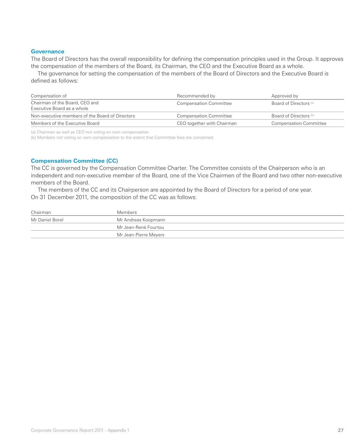#### **Governance**

The Board of Directors has the overall responsibility for defining the compensation principles used in the Group. It approves the compensation of the members of the Board, its Chairman, the CEO and the Executive Board as a whole.

The governance for setting the compensation of the members of the Board of Directors and the Executive Board is defined as follows:

| Compensation of                                              | Recommended by                | Approved by                   |
|--------------------------------------------------------------|-------------------------------|-------------------------------|
| Chairman of the Board, CEO and<br>Executive Board as a whole | <b>Compensation Committee</b> | Board of Directors (a)        |
| Non-executive members of the Board of Directors              | <b>Compensation Committee</b> | Board of Directors (b)        |
| Members of the Executive Board                               | CEO together with Chairman    | <b>Compensation Committee</b> |

(a) Chairman as well as CEO not voting on own compensation.

(b) Members not voting on own compensation to the extent that Committee fees are concerned.

#### **Compensation Committee (CC)**

The CC is governed by the Compensation Committee Charter. The Committee consists of the Chairperson who is an independent and non-executive member of the Board, one of the Vice Chairmen of the Board and two other non-executive members of the Board.

The members of the CC and its Chairperson are appointed by the Board of Directors for a period of one year. On 31 December 2011, the composition of the CC was as follows:

| Chairman        | Members               |
|-----------------|-----------------------|
| Mr Daniel Borel | Mr Andreas Koopmann   |
|                 | Mr Jean-René Fourtou  |
|                 | Mr Jean-Pierre Meyers |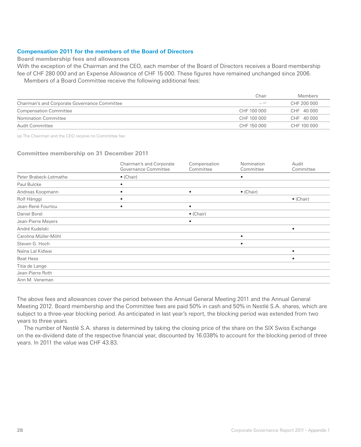# **Compensation 2011 for the members of the Board of Directors**

**Board membership fees and allowances**

With the exception of the Chairman and the CEO, each member of the Board of Directors receives a Board membership fee of CHF 280 000 and an Expense Allowance of CHF 15 000. These figures have remained unchanged since 2006. Members of a Board Committee receive the following additional fees:

|                                               | Chair       | Members     |
|-----------------------------------------------|-------------|-------------|
| Chairman's and Corporate Governance Committee | $=$ (a)     | CHF 200 000 |
| <b>Compensation Committee</b>                 | CHF 100 000 | CHF 40 000  |
| Nomination Committee                          | CHF 100 000 | CHF 40 000  |
| Audit Committee                               | CHF 150 000 | CHF 100 000 |

(a) The Chairman and the CEO receive no Committee fee.

#### **Committee membership on 31 December 2011**

|                        | Chairman's and Corporate | Compensation      | Nomination        | Audit             |
|------------------------|--------------------------|-------------------|-------------------|-------------------|
|                        | Governance Committee     | Committee         | Committee         | Committee         |
| Peter Brabeck-Letmathe | $\bullet$ (Chair)        |                   | ٠                 |                   |
| Paul Bulcke            |                          |                   |                   |                   |
| Andreas Koopmann       | ٠                        | $\bullet$         | $\bullet$ (Chair) |                   |
| Rolf Hänggi            |                          |                   |                   | $\bullet$ (Chair) |
| Jean-René Fourtou      |                          | ٠                 |                   |                   |
| Daniel Borel           |                          | $\bullet$ (Chair) |                   |                   |
| Jean-Pierre Meyers     |                          |                   |                   |                   |
| André Kudelski         |                          |                   |                   | ٠                 |
| Carolina Müller-Möhl   |                          |                   | $\bullet$         |                   |
| Steven G. Hoch         |                          |                   | $\bullet$         |                   |
| Naïna Lal Kidwai       |                          |                   |                   |                   |
| <b>Beat Hess</b>       |                          |                   |                   | ٠                 |
| Titia de Lange         |                          |                   |                   |                   |
| Jean-Pierre Roth       |                          |                   |                   |                   |
| Ann M. Veneman         |                          |                   |                   |                   |

The above fees and allowances cover the period between the Annual General Meeting 2011 and the Annual General Meeting 2012. Board membership and the Committee fees are paid 50% in cash and 50% in Nestlé S.A. shares, which are subject to a three-year blocking period. As anticipated in last year's report, the blocking period was extended from two years to three years.

The number of Nestlé S.A. shares is determined by taking the closing price of the share on the SIX Swiss Exchange on the ex-dividend date of the respective financial year, discounted by 16.038% to account for the blocking period of three years. In 2011 the value was CHF 43.83.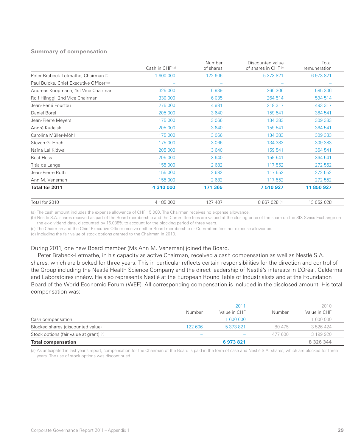#### **Summary of compensation**

|                                                     | Cash in CHF(a)           | Number<br>of shares | Discounted value<br>of shares in CHF b) | Total<br>remuneration |
|-----------------------------------------------------|--------------------------|---------------------|-----------------------------------------|-----------------------|
| Peter Brabeck-Letmathe, Chairman (c)                | 1 600 000                | 122 606             | 5 373 821                               | 6973821               |
| Paul Bulcke, Chief Executive Officer <sup>(c)</sup> | $\overline{\phantom{a}}$ |                     |                                         |                       |
| Andreas Koopmann, 1st Vice Chairman                 | 325 000                  | 5939                | 260 306                                 | 585 306               |
| Rolf Hänggi, 2nd Vice Chairman                      | 330 000                  | 6 0 35              | 264 514                                 | 594 514               |
| Jean-René Fourtou                                   | 275 000                  | 4 9 8 1             | 218 317                                 | 493 317               |
| Daniel Borel                                        | 205 000                  | 3640                | 159 541                                 | 364 541               |
| Jean-Pierre Meyers                                  | 175 000                  | 3 0 6 6             | 134 383                                 | 309 383               |
| André Kudelski                                      | 205 000                  | 3640                | 159 541                                 | 364 541               |
| Carolina Müller-Möhl                                | 175 000                  | 3 0 6 6             | 134 383                                 | 309 383               |
| Steven G. Hoch                                      | 175 000                  | 3 0 6 6             | 134 383                                 | 309 383               |
| Naïna Lal Kidwai                                    | 205 000                  | 3640                | 159 541                                 | 364 541               |
| <b>Beat Hess</b>                                    | 205 000                  | 3640                | 159 541                                 | 364 541               |
| Titia de Lange                                      | 155 000                  | 2682                | 117 552                                 | 272 552               |
| Jean-Pierre Roth                                    | 155 000                  | 2682                | 117 552                                 | 272 552               |
| Ann M. Veneman                                      | 155 000                  | 2682                | 117 552                                 | 272 552               |
| Total for 2011                                      | 4 340 000                | 171 365             | 7 510 927                               | 11 850 927            |
| Total for 2010                                      | 4 185 000                | 127 407             | 8 867 028 (d)                           | 13 052 028            |

(a) The cash amount includes the expense allowance of CHF 15 000. The Chairman receives no expense allowance.

(b) Nestlé S.A. shares received as part of the Board membership and the Committee fees are valued at the closing price of the share on the SIX Swiss Exchange on the ex-dividend date, discounted by 16.038% to account for the blocking period of three years.

(c) The Chairman and the Chief Executive Officer receive neither Board membership or Committee fees nor expense allowance.

(d) Including the fair value of stock options granted to the Chairman in 2010.

#### During 2011, one new Board member (Ms Ann M. Veneman) joined the Board.

Peter Brabeck-Letmathe, in his capacity as active Chairman, received a cash compensation as well as Nestlé S.A. shares, which are blocked for three years. This in particular reflects certain responsibilities for the direction and control of the Group including the Nestlé Health Science Company and the direct leadership of Nestlé's interests in L'Oréal, Galderma and Laboratoires innéov. He also represents Nestlé at the European Round Table of Industrialists and at the Foundation Board of the World Economic Forum (WEF). All corresponding compensation is included in the disclosed amount. His total compensation was:

|                                         |                          | 2011         |         | 2010         |
|-----------------------------------------|--------------------------|--------------|---------|--------------|
|                                         | Number                   | Value in CHF | Number  | Value in CHF |
| Cash compensation                       |                          | 1 600 000    |         | 1 600 000    |
| Blocked shares (discounted value)       | 122 606                  | 5 373 821    | 80 475  | 3 526 424    |
| Stock options (fair value at grant) (a) | $\overline{\phantom{a}}$ |              | 477 600 | 3 199 920    |
| <b>Total compensation</b>               |                          | 6973821      |         | 8 326 344    |

(a) As anticipated in last year's report, compensation for the Chairman of the Board is paid in the form of cash and Nestlé S.A. shares, which are blocked for three years. The use of stock options was discontinued.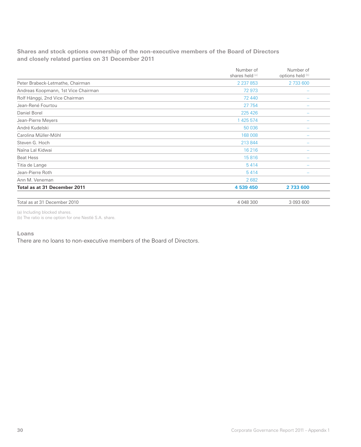**Shares and stock options ownership of the non-executive members of the Board of Directors and closely related parties on 31 December 2011**

|                                     | Number of<br>shares held (a) | Number of<br>options held (b) |
|-------------------------------------|------------------------------|-------------------------------|
| Peter Brabeck-Letmathe, Chairman    | 2 2 3 7 8 5 3                | 2 733 600                     |
| Andreas Koopmann, 1st Vice Chairman | 72 973                       |                               |
| Rolf Hänggi, 2nd Vice Chairman      | 72 440                       |                               |
| Jean-René Fourtou                   | 27 754                       |                               |
| Daniel Borel                        | 225 426                      |                               |
| Jean-Pierre Meyers                  | 1 425 574                    |                               |
| André Kudelski                      | 50 036                       |                               |
| Carolina Müller-Möhl                | 168 008                      |                               |
| Steven G. Hoch                      | 213 844                      |                               |
| Naïna Lal Kidwai                    | 16 216                       |                               |
| <b>Beat Hess</b>                    | 15816                        |                               |
| Titia de Lange                      | 5414                         |                               |
| Jean-Pierre Roth                    | 5414                         |                               |
| Ann M. Veneman                      | 2682                         |                               |
| Total as at 31 December 2011        | 4 539 450                    | 2 733 600                     |
| Total as at 31 December 2010        | 4 048 300                    | 3 093 600                     |

(a) Including blocked shares.

(b) The ratio is one option for one Nestlé S.A. share.

# **Loans**

There are no loans to non-executive members of the Board of Directors.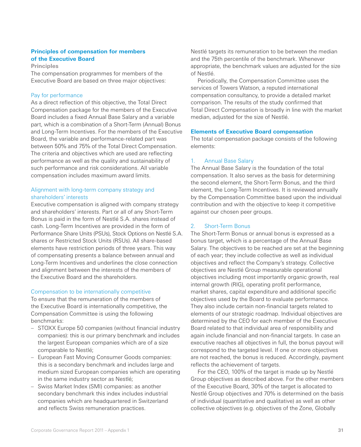# **Principles of compensation for members of the Executive Board**

**Principles**

The compensation programmes for members of the Executive Board are based on three major objectives:

# Pay for performance

As a direct reflection of this objective, the Total Direct Compensation package for the members of the Executive Board includes a fixed Annual Base Salary and a variable part, which is a combination of a Short-Term (Annual) Bonus and Long-Term Incentives. For the members of the Executive Board, the variable and performance-related part was between 50% and 75% of the Total Direct Compensation. The criteria and objectives which are used are reflecting performance as well as the quality and sustainability of such performance and risk considerations. All variable compensation includes maximum award limits.

# Alignment with long-term company strategy and shareholders' interests

Executive compensation is aligned with company strategy and shareholders' interests. Part or all of any Short-Term Bonus is paid in the form of Nestlé S.A. shares instead of cash. Long-Term Incentives are provided in the form of Performance Share Units (PSUs), Stock Options on Nestlé S.A. shares or Restricted Stock Units (RSUs). All share-based elements have restriction periods of three years. This way of compensating presents a balance between annual and Long-Term Incentives and underlines the close connection and alignment between the interests of the members of the Executive Board and the shareholders.

# Compensation to be internationally competitive

To ensure that the remuneration of the members of the Executive Board is internationally competitive, the Compensation Committee is using the following benchmarks:

- STOXX Europe 50 companies (without financial industry companies): this is our primary benchmark and includes the largest European companies which are of a size comparable to Nestlé;
- European Fast Moving Consumer Goods companies: this is a secondary benchmark and includes large and medium sized European companies which are operating in the same industry sector as Nestlé;
- Swiss Market Index (SMI) companies: as another secondary benchmark this index includes industrial companies which are headquartered in Switzerland and reflects Swiss remuneration practices.

Nestlé targets its remuneration to be between the median and the 75th percentile of the benchmark. Whenever appropriate, the benchmark values are adjusted for the size of Nestlé.

Periodically, the Compensation Committee uses the services of Towers Watson, a reputed international compensation consultancy, to provide a detailed market comparison. The results of the study confirmed that Total Direct Compensation is broadly in line with the market median, adjusted for the size of Nestlé.

# **Elements of Executive Board compensation**

The total compensation package consists of the following elements:

# 1. Annual Base Salary

The Annual Base Salary is the foundation of the total compensation. It also serves as the basis for determining the second element, the Short-Term Bonus, and the third element, the Long-Term Incentives. It is reviewed annually by the Compensation Committee based upon the individual contribution and with the objective to keep it competitive against our chosen peer groups.

# 2. Short-Term Bonus

The Short-Term Bonus or annual bonus is expressed as a bonus target, which is a percentage of the Annual Base Salary. The objectives to be reached are set at the beginning of each year; they include collective as well as individual objectives and reflect the Company's strategy. Collective objectives are Nestlé Group measurable operational objectives including most importantly organic growth, real internal growth (RIG), operating profit performance, market shares, capital expenditure and additional specific objectives used by the Board to evaluate performance. They also include certain non-financial targets related to elements of our strategic roadmap. Individual objectives are determined by the CEO for each member of the Executive Board related to that individual area of responsibility and again include financial and non-financial targets. In case an executive reaches all objectives in full, the bonus payout will correspond to the targeted level. If one or more objectives are not reached, the bonus is reduced. Accordingly, payment reflects the achievement of targets.

For the CEO, 100% of the target is made up by Nestlé Group objectives as described above. For the other members of the Executive Board, 30% of the target is allocated to Nestlé Group objectives and 70% is determined on the basis of individual (quantitative and qualitative) as well as other collective objectives (e.g. objectives of the Zone, Globally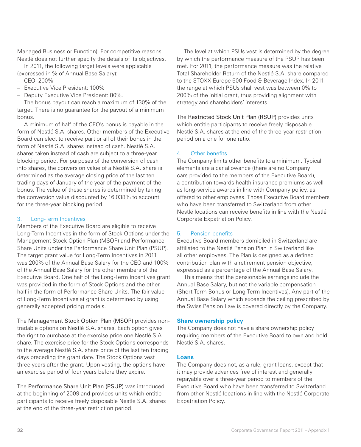Managed Business or Function). For competitive reasons Nestlé does not further specify the details of its objectives.

In 2011, the following target levels were applicable (expressed in % of Annual Base Salary):

- $-$  CEO: 200%
- Executive Vice President: 100%
- Deputy Executive Vice President: 80%.

The bonus payout can reach a maximum of 130% of the target. There is no guarantee for the payout of a minimum bonus.

A minimum of half of the CEO's bonus is payable in the form of Nestlé S.A. shares. Other members of the Executive Board can elect to receive part or all of their bonus in the form of Nestlé S.A. shares instead of cash. Nestlé S.A. shares taken instead of cash are subject to a three-year blocking period. For purposes of the conversion of cash into shares, the conversion value of a Nestlé S.A. share is determined as the average closing price of the last ten trading days of January of the year of the payment of the bonus. The value of these shares is determined by taking the conversion value discounted by 16.038% to account for the three-year blocking period.

# 3. Long-Term Incentives

Members of the Executive Board are eligible to receive Long-Term Incentives in the form of Stock Options under the Management Stock Option Plan (MSOP) and Performance Share Units under the Performance Share Unit Plan (PSUP). The target grant value for Long-Term Incentives in 2011 was 200% of the Annual Base Salary for the CEO and 100% of the Annual Base Salary for the other members of the Executive Board. One half of the Long-Term Incentives grant was provided in the form of Stock Options and the other half in the form of Performance Share Units. The fair value of Long-Term Incentives at grant is determined by using generally accepted pricing models.

The Management Stock Option Plan (MSOP) provides nontradable options on Nestlé S.A. shares. Each option gives the right to purchase at the exercise price one Nestlé S.A. share. The exercise price for the Stock Options corresponds to the average Nestlé S.A. share price of the last ten trading days preceding the grant date. The Stock Options vest three years after the grant. Upon vesting, the options have an exercise period of four years before they expire.

The Performance Share Unit Plan (PSUP) was introduced at the beginning of 2009 and provides units which entitle participants to receive freely disposable Nestlé S.A. shares at the end of the three-year restriction period.

The level at which PSUs vest is determined by the degree by which the performance measure of the PSUP has been met. For 2011, the performance measure was the relative Total Shareholder Return of the Nestlé S.A. share compared to the STOXX Europe 600 Food & Beverage Index. In 2011 the range at which PSUs shall vest was between 0% to 200% of the initial grant, thus providing alignment with strategy and shareholders' interests.

The Restricted Stock Unit Plan (RSUP) provides units which entitle participants to receive freely disposable Nestlé S.A. shares at the end of the three-year restriction period on a one for one ratio.

#### 4. Other benefits

The Company limits other benefits to a minimum. Typical elements are a car allowance (there are no Company cars provided to the members of the Executive Board), a contribution towards health insurance premiums as well as long-service awards in line with Company policy, as offered to other employees. Those Executive Board members who have been transferred to Switzerland from other Nestlé locations can receive benefits in line with the Nestlé Corporate Expatriation Policy.

# 5. Pension benefits

Executive Board members domiciled in Switzerland are affiliated to the Nestlé Pension Plan in Switzerland like all other employees. The Plan is designed as a defined contribution plan with a retirement pension objective, expressed as a percentage of the Annual Base Salary.

This means that the pensionable earnings include the Annual Base Salary, but not the variable compensation (Short-Term Bonus or Long-Term Incentives). Any part of the Annual Base Salary which exceeds the ceiling prescribed by the Swiss Pension Law is covered directly by the Company.

#### **Share ownership policy**

The Company does not have a share ownership policy requiring members of the Executive Board to own and hold Nestlé S.A. shares.

# **Loans**

The Company does not, as a rule, grant loans, except that it may provide advances free of interest and generally repayable over a three-year period to members of the Executive Board who have been transferred to Switzerland from other Nestlé locations in line with the Nestlé Corporate Expatriation Policy.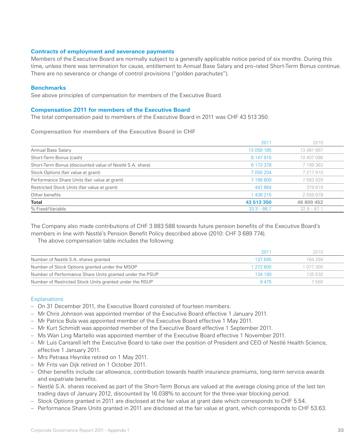# **Contracts of employment and severance payments**

Members of the Executive Board are normally subject to a generally applicable notice period of six months. During this time, unless there was termination for cause, entitlement to Annual Base Salary and pro-rated Short-Term Bonus continue. There are no severance or change of control provisions ("golden parachutes").

#### **Benchmarks**

See above principles of compensation for members of the Executive Board.

#### **Compensation 2011 for members of the Executive Board**

The total compensation paid to members of the Executive Board in 2011 was CHF 43 513 350.

**Compensation for members of the Executive Board in CHF**

|                                                          | 2011          | 2010          |
|----------------------------------------------------------|---------------|---------------|
| Annual Base Salary                                       | 13 059 165    | 13 481 667    |
| Short-Term Bonus (cash)                                  | 8 147 915     | 10 407 086    |
| Short-Term Bonus (discounted value of Nestlé S.A. share) | 6 173 378     | 7 199 363     |
| Stock Options (fair value at grant)                      | 7 050 204     | 7 217 910     |
| Performance Share Units (fair value at grant)            | 7 196 609     | 7 563 929     |
| Restricted Stock Units (fair value at grant)             | 447 864       | 379819        |
| Other benefits                                           | 1 438 215     | 2 559 678     |
| <b>Total</b>                                             | 43 513 350    | 48 809 452    |
| % Fixed/Variable                                         | $33.3 - 66.7$ | $32.9 - 67.1$ |

The Company also made contributions of CHF 3 883 588 towards future pension benefits of the Executive Board's members in line with Nestlé's Pension Benefit Policy described above (2010: CHF 3 689 774).

The above compensation table includes the following:

|                                                          | 2011      | 2010      |
|----------------------------------------------------------|-----------|-----------|
| Number of Nestlé S.A. shares granted                     | 137 645   | 164 294   |
| Number of Stock Options granted under the MSOP           | 1 272 600 | 1 077 300 |
| Number of Performance Share Units granted under the PSUP | 134 190   | 135 530   |
| Number of Restricted Stock Units granted under the RSUP  | 9475      | ' 560     |

# **Explanations**

- On 31 December 2011, the Executive Board consisted of fourteen members.
- Mr Chris Johnson was appointed member of the Executive Board effective 1 January 2011.
- Mr Patrice Bula was appointed member of the Executive Board effective 1 May 2011.
- Mr Kurt Schmidt was appointed member of the Executive Board effective 1 September 2011.
- Ms Wan Ling Martello was appointed member of the Executive Board effective 1 November 2011.
- Mr Luis Cantarell left the Executive Board to take over the position of President and CEO of Nestlé Health Science, effective 1 January 2011.
- Mrs Petraea Heynike retired on 1 May 2011.
- Mr Frits van Dijk retired on 1 October 2011.
- Other benefits include car allowance, contribution towards health insurance premiums, long-term service awards and expatriate benefits.
- Nestlé S.A. shares received as part of the Short-Term Bonus are valued at the average closing price of the last ten trading days of January 2012, discounted by 16.038% to account for the three-year blocking period.
- Stock Options granted in 2011 are disclosed at the fair value at grant date which corresponds to CHF 5.54.
- Performance Share Units granted in 2011 are disclosed at the fair value at grant, which corresponds to CHF 53.63.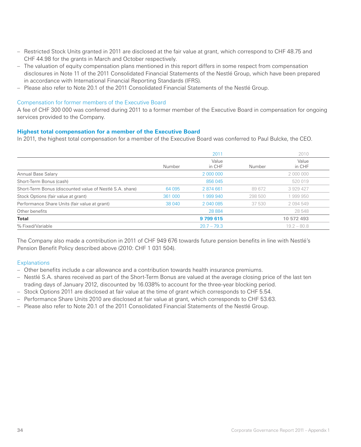- Restricted Stock Units granted in 2011 are disclosed at the fair value at grant, which correspond to CHF 48.75 and CHF 44.98 for the grants in March and October respectively.
- The valuation of equity compensation plans mentioned in this report differs in some respect from compensation disclosures in Note 11 of the 2011 Consolidated Financial Statements of the Nestlé Group, which have been prepared in accordance with International Financial Reporting Standards (IFRS).
- Please also refer to Note 20.1 of the 2011 Consolidated Financial Statements of the Nestlé Group.

# Compensation for former members of the Executive Board

A fee of CHF 300 000 was conferred during 2011 to a former member of the Executive Board in compensation for ongoing services provided to the Company.

# **Highest total compensation for a member of the Executive Board**

In 2011, the highest total compensation for a member of the Executive Board was conferred to Paul Bulcke, the CEO.

|                                                          |         | 2011            |         | 2010            |
|----------------------------------------------------------|---------|-----------------|---------|-----------------|
|                                                          | Number  | Value<br>in CHF | Number  | Value<br>in CHF |
| Annual Base Salary                                       |         | 2 000 000       |         | 2 000 000       |
| Short-Term Bonus (cash)                                  |         | 856 045         |         | 520 019         |
| Short-Term Bonus (discounted value of Nestlé S.A. share) | 64 095  | 2 874 661       | 89 672  | 3 929 427       |
| Stock Options (fair value at grant)                      | 361 000 | 999 940         | 298 500 | 1999950         |
| Performance Share Units (fair value at grant)            | 38 040  | 2 040 085       | 37 530  | 2 094 549       |
| Other benefits                                           |         | 28 8 84         |         | 28 548          |
| Total                                                    |         | 9799615         |         | 10 572 493      |
| % Fixed/Variable                                         |         | $20.7 - 79.3$   |         | $19.2 - 80.8$   |

The Company also made a contribution in 2011 of CHF 949 676 towards future pension benefits in line with Nestlé's Pension Benefit Policy described above (2010: CHF 1 031 504).

# **Explanations**

- Other benefits include a car allowance and a contribution towards health insurance premiums.
- Nestlé S.A. shares received as part of the Short-Term Bonus are valued at the average closing price of the last ten trading days of January 2012, discounted by 16.038% to account for the three-year blocking period.
- Stock Options 2011 are disclosed at fair value at the time of grant which corresponds to CHF 5.54.
- Performance Share Units 2010 are disclosed at fair value at grant, which corresponds to CHF 53.63.
- Please also refer to Note 20.1 of the 2011 Consolidated Financial Statements of the Nestlé Group.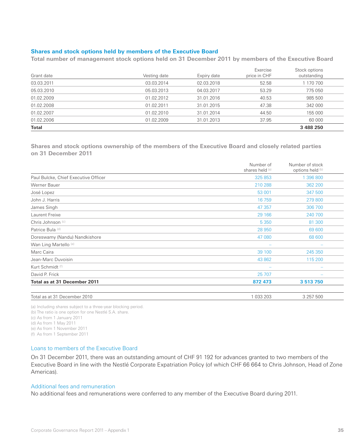# **Shares and stock options held by members of the Executive Board**

**Total number of management stock options held on 31 December 2011 by members of the Executive Board**

|              |              |             | Exercise     | Stock options |
|--------------|--------------|-------------|--------------|---------------|
| Grant date   | Vesting date | Expiry date | price in CHF | outstanding   |
| 03.03.2011   | 03.03.2014   | 02.03.2018  | 52.58        | 1 170 700     |
| 05.03.2010   | 05.03.2013   | 04.03.2017  | 53.29        | 775 050       |
| 01.02.2009   | 01.02.2012   | 31.01.2016  | 40.53        | 985 500       |
| 01.02.2008   | 01.02.2011   | 31.01.2015  | 47.38        | 342 000       |
| 01.02.2007   | 01.02.2010   | 31.01.2014  | 44.50        | 155 000       |
| 01.02.2006   | 01.02.2009   | 31.01.2013  | 37.95        | 60 000        |
| <b>Total</b> |              |             |              | 3 488 250     |

**Shares and stock options ownership of the members of the Executive Board and closely related parties on 31 December 2011**

|                                      | Number of<br>shares held (a) | Number of stock<br>options held (b) |  |
|--------------------------------------|------------------------------|-------------------------------------|--|
| Paul Bulcke, Chief Executive Officer | 325 853                      | 1 396 800                           |  |
| Werner Bauer                         | 210 288                      | 362 200                             |  |
| José Lopez                           | 53 001                       | 347 500                             |  |
| John J. Harris                       | 16759                        | 279 800                             |  |
| James Singh                          | 47 357                       | 306 700                             |  |
| Laurent Freixe                       | 29 16 6                      | 240 700                             |  |
| Chris Johnson <sup>(c)</sup>         | 5 3 5 0                      | 81 300                              |  |
| Patrice Bula (d)                     | 28 950                       | 69 600                              |  |
| Doreswamy (Nandu) Nandkishore        | 47 080                       | 68 600                              |  |
| Wan Ling Martello <sup>(e)</sup>     |                              |                                     |  |
| Marc Caira                           | 39 100                       | 245 350                             |  |
| Jean-Marc Duvoisin                   | 43 862                       | 115 200                             |  |
| Kurt Schmidt (f)                     |                              |                                     |  |
| David P. Frick                       | 25 707                       |                                     |  |
| Total as at 31 December 2011         | 872 473                      | 3 513 750                           |  |
| Total as at 31 December 2010         | 1 033 203                    | 3 257 500                           |  |

(a) Including shares subject to a three-year blocking period.

(b) The ratio is one option for one Nestlé S.A. share.

(c) As from 1 January 2011

(d) As from 1 May 2011

(e) As from 1 November 2011

(f) As from 1 September 2011

# Loans to members of the Executive Board

On 31 December 2011, there was an outstanding amount of CHF 91 192 for advances granted to two members of the Executive Board in line with the Nestlé Corporate Expatriation Policy (of which CHF 66 664 to Chris Johnson, Head of Zone Americas).

#### Additional fees and remuneration

No additional fees and remunerations were conferred to any member of the Executive Board during 2011.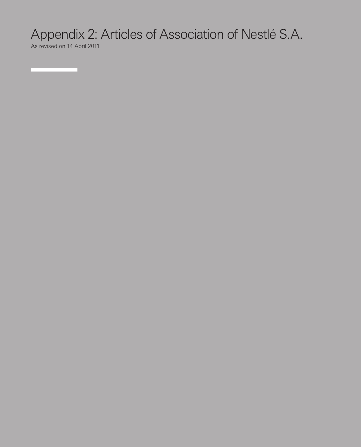# Appendix 2: Articles of Association of Nestlé S.A.

As revised on 14 April 2011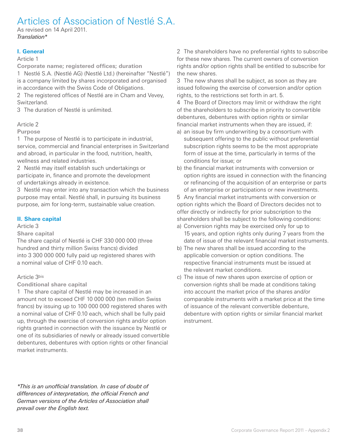# Articles of Association of Nestlé S.A.

As revised on 14 April 2011. Translation\*

# **I. General**

# Article 1

**Corporate name; registered offices; duration**

1 Nestlé S.A. (Nestlé AG) (Nestlé Ltd.) (hereinafter "Nestlé") is a company limited by shares incorporated and organised in accordance with the Swiss Code of Obligations.

2 The registered offices of Nestlé are in Cham and Vevey, Switzerland.

3 The duration of Nestlé is unlimited.

# Article 2

# **Purpose**

1 The purpose of Nestlé is to participate in industrial, service, commercial and financial enterprises in Switzerland and abroad, in particular in the food, nutrition, health, wellness and related industries.

2 Nestlé may itself establish such undertakings or participate in, finance and promote the development of undertakings already in existence.

3 Nestlé may enter into any transaction which the business purpose may entail. Nestlé shall, in pursuing its business purpose, aim for long-term, sustainable value creation.

# **II. Share capital**

# Article 3

# **Share capital**

The share capital of Nestlé is CHF 330 000 000 (three hundred and thirty million Swiss francs) divided into 3 300 000 000 fully paid up registered shares with a nominal value of CHF 0.10 each.

# Article 3bis

**Conditional share capital**

1 The share capital of Nestlé may be increased in an amount not to exceed CHF 10 000 000 (ten million Swiss francs) by issuing up to 100 000 000 registered shares with a nominal value of CHF 0.10 each, which shall be fully paid up, through the exercise of conversion rights and/or option rights granted in connection with the issuance by Nestlé or one of its subsidiaries of newly or already issued convertible debentures, debentures with option rights or other financial market instruments.

\*This is an unofficial translation. In case of doubt of differences of interpretation, the official French and German versions of the Articles of Association shall prevail over the English text.

2 The shareholders have no preferential rights to subscribe for these new shares. The current owners of conversion rights and/or option rights shall be entitled to subscribe for the new shares.

3 The new shares shall be subject, as soon as they are issued following the exercise of conversion and/or option rights, to the restrictions set forth in art. 5.

4 The Board of Directors may limit or withdraw the right of the shareholders to subscribe in priority to convertible debentures, debentures with option rights or similar financial market instruments when they are issued, if:

- a) an issue by firm underwriting by a consortium with subsequent offering to the public without preferential subscription rights seems to be the most appropriate form of issue at the time, particularly in terms of the conditions for issue; or
- b) the financial market instruments with conversion or option rights are issued in connection with the financing or refinancing of the acquisition of an enterprise or parts of an enterprise or participations or new investments.

5 Any financial market instruments with conversion or option rights which the Board of Directors decides not to offer directly or indirectly for prior subscription to the shareholders shall be subject to the following conditions:

- a) Conversion rights may be exercised only for up to 15 years, and option rights only during 7 years from the date of issue of the relevant financial market instruments.
- b) The new shares shall be issued according to the applicable conversion or option conditions. The respective financial instruments must be issued at the relevant market conditions.
- c) The issue of new shares upon exercise of option or conversion rights shall be made at conditions taking into account the market price of the shares and/or comparable instruments with a market price at the time of issuance of the relevant convertible debenture, debenture with option rights or similar financial market instrument.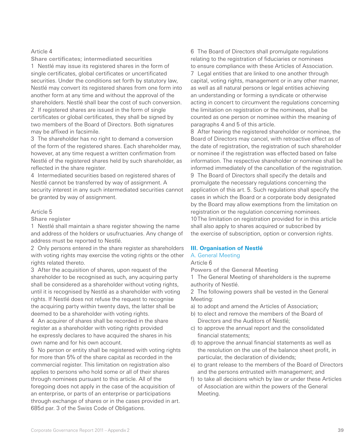**Share certificates; intermediated securities** 1 Nestlé may issue its registered shares in the form of single certificates, global certificates or uncertificated securities. Under the conditions set forth by statutory law, Nestlé may convert its registered shares from one form into another form at any time and without the approval of the shareholders. Nestlé shall bear the cost of such conversion.

2 If registered shares are issued in the form of single certificates or global certificates, they shall be signed by two members of the Board of Directors. Both signatures may be affixed in facsimile.

3 The shareholder has no right to demand a conversion of the form of the registered shares. Each shareholder may, however, at any time request a written confirmation from Nestlé of the registered shares held by such shareholder, as reflected in the share register.

4 Intermediated securities based on registered shares of Nestlé cannot be transferred by way of assignment. A security interest in any such intermediated securities cannot be granted by way of assignment.

#### Article 5

**Share register**

1 Nestlé shall maintain a share register showing the name and address of the holders or usufructuaries. Any change of address must be reported to Nestlé.

2 Only persons entered in the share register as shareholders with voting rights may exercise the voting rights or the other rights related thereto.

3 After the acquisition of shares, upon request of the shareholder to be recognised as such, any acquiring party shall be considered as a shareholder without voting rights, until it is recognised by Nestlé as a shareholder with voting rights. If Nestlé does not refuse the request to recognise the acquiring party within twenty days, the latter shall be deemed to be a shareholder with voting rights.

4 An acquirer of shares shall be recorded in the share register as a shareholder with voting rights provided he expressly declares to have acquired the shares in his own name and for his own account.

5 No person or entity shall be registered with voting rights for more than 5% of the share capital as recorded in the commercial register. This limitation on registration also applies to persons who hold some or all of their shares through nominees pursuant to this article. All of the foregoing does not apply in the case of the acquisition of an enterprise, or parts of an enterprise or participations through exchange of shares or in the cases provided in art. 685d par. 3 of the Swiss Code of Obligations.

6 The Board of Directors shall promulgate regulations relating to the registration of fiduciaries or nominees to ensure compliance with these Articles of Association. 7 Legal entities that are linked to one another through capital, voting rights, management or in any other manner, as well as all natural persons or legal entities achieving an understanding or forming a syndicate or otherwise acting in concert to circumvent the regulations concerning the limitation on registration or the nominees, shall be counted as one person or nominee within the meaning of paragraphs 4 and 5 of this article.

8 After hearing the registered shareholder or nominee, the Board of Directors may cancel, with retroactive effect as of the date of registration, the registration of such shareholder or nominee if the registration was effected based on false information. The respective shareholder or nominee shall be informed immediately of the cancellation of the registration. 9 The Board of Directors shall specify the details and promulgate the necessary regulations concerning the application of this art. 5. Such regulations shall specify the cases in which the Board or a corporate body designated by the Board may allow exemptions from the limitation on registration or the regulation concerning nominees. 10 The limitation on registration provided for in this article shall also apply to shares acquired or subscribed by the exercise of subscription, option or conversion rights.

# **III. Organisation of Nestlé**

# A. General Meeting

Article 6

**Powers of the General Meeting**

1 The General Meeting of shareholders is the supreme authority of Nestlé.

2 The following powers shall be vested in the General Meeting:

- a) to adopt and amend the Articles of Association;
- b) to elect and remove the members of the Board of Directors and the Auditors of Nestlé;
- c) to approve the annual report and the consolidated financial statements;
- d) to approve the annual financial statements as well as the resolution on the use of the balance sheet profit, in particular, the declaration of dividends;
- e) to grant release to the members of the Board of Directors and the persons entrusted with management; and
- f) to take all decisions which by law or under these Articles of Association are within the powers of the General Meeting.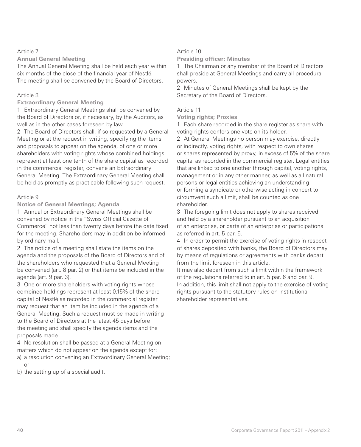**Annual General Meeting**

The Annual General Meeting shall be held each year within six months of the close of the financial year of Nestlé. The meeting shall be convened by the Board of Directors.

# Article 8

# **Extraordinary General Meeting**

1 Extraordinary General Meetings shall be convened by the Board of Directors or, if necessary, by the Auditors, as well as in the other cases foreseen by law.

2 The Board of Directors shall, if so requested by a General Meeting or at the request in writing, specifying the items and proposals to appear on the agenda, of one or more shareholders with voting rights whose combined holdings represent at least one tenth of the share capital as recorded in the commercial register, convene an Extraordinary General Meeting. The Extraordinary General Meeting shall be held as promptly as practicable following such request.

# Article 9

**Notice of General Meetings; Agenda**

1 Annual or Extraordinary General Meetings shall be convened by notice in the "Swiss Official Gazette of Commerce" not less than twenty days before the date fixed for the meeting. Shareholders may in addition be informed by ordinary mail.

2 The notice of a meeting shall state the items on the agenda and the proposals of the Board of Directors and of the shareholders who requested that a General Meeting be convened (art. 8 par. 2) or that items be included in the agenda (art. 9 par. 3).

3 One or more shareholders with voting rights whose combined holdings represent at least 0.15% of the share capital of Nestlé as recorded in the commercial register may request that an item be included in the agenda of a General Meeting. Such a request must be made in writing to the Board of Directors at the latest 45 days before the meeting and shall specify the agenda items and the proposals made.

4 No resolution shall be passed at a General Meeting on matters which do not appear on the agenda except for:

- a) a resolution convening an Extraordinary General Meeting; or
- b) the setting up of a special audit.

# Article 10

# **Presiding officer; Minutes**

1 The Chairman or any member of the Board of Directors shall preside at General Meetings and carry all procedural powers.

2 Minutes of General Meetings shall be kept by the Secretary of the Board of Directors.

# Article 11

**Voting rights; Proxies**

1 Each share recorded in the share register as share with voting rights confers one vote on its holder.

2 At General Meetings no person may exercise, directly or indirectly, voting rights, with respect to own shares or shares represented by proxy, in excess of 5% of the share capital as recorded in the commercial register. Legal entities that are linked to one another through capital, voting rights, management or in any other manner, as well as all natural persons or legal entities achieving an understanding or forming a syndicate or otherwise acting in concert to circumvent such a limit, shall be counted as one shareholder.

3 The foregoing limit does not apply to shares received and held by a shareholder pursuant to an acquisition of an enterprise, or parts of an enterprise or participations as referred in art. 5 par. 5.

4 In order to permit the exercise of voting rights in respect of shares deposited with banks, the Board of Directors may by means of regulations or agreements with banks depart from the limit foreseen in this article.

It may also depart from such a limit within the framework of the regulations referred to in art. 5 par. 6 and par. 9. In addition, this limit shall not apply to the exercise of voting rights pursuant to the statutory rules on institutional shareholder representatives.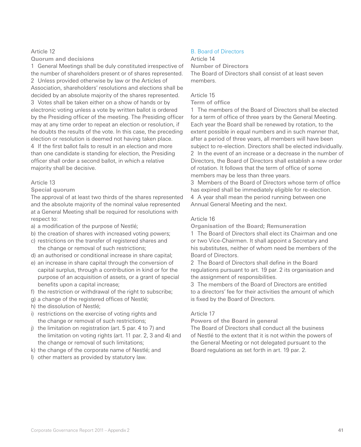**Quorum and decisions**

1 General Meetings shall be duly constituted irrespective of the number of shareholders present or of shares represented. 2 Unless provided otherwise by law or the Articles of Association, shareholders' resolutions and elections shall be decided by an absolute majority of the shares represented. 3 Votes shall be taken either on a show of hands or by electronic voting unless a vote by written ballot is ordered by the Presiding officer of the meeting. The Presiding officer may at any time order to repeat an election or resolution, if he doubts the results of the vote. In this case, the preceding election or resolution is deemed not having taken place. 4 If the first ballot fails to result in an election and more than one candidate is standing for election, the Presiding officer shall order a second ballot, in which a relative majority shall be decisive.

# Article 13

#### **Special quorum**

The approval of at least two thirds of the shares represented and the absolute majority of the nominal value represented at a General Meeting shall be required for resolutions with respect to:

- a) a modification of the purpose of Nestlé;
- b) the creation of shares with increased voting powers;
- c) restrictions on the transfer of registered shares and the change or removal of such restrictions;
- d) an authorised or conditional increase in share capital;
- e) an increase in share capital through the conversion of capital surplus, through a contribution in kind or for the purpose of an acquisition of assets, or a grant of special benefits upon a capital increase;
- f) the restriction or withdrawal of the right to subscribe;
- g) a change of the registered offices of Nestlé;
- h) the dissolution of Nestlé;
- i) restrictions on the exercise of voting rights and the change or removal of such restrictions;
- j) the limitation on registration (art. 5 par. 4 to 7) and the limitation on voting rights (art. 11 par. 2, 3 and 4) and the change or removal of such limitations;
- k) the change of the corporate name of Nestlé; and
- l) other matters as provided by statutory law.

# B. Board of Directors

#### Article 14

**Number of Directors**

The Board of Directors shall consist of at least seven members.

# Article 15

# **Term of office**

1 The members of the Board of Directors shall be elected for a term of office of three years by the General Meeting. Each year the Board shall be renewed by rotation, to the extent possible in equal numbers and in such manner that, after a period of three years, all members will have been subject to re-election. Directors shall be elected individually. 2 In the event of an increase or a decrease in the number of Directors, the Board of Directors shall establish a new order of rotation. It follows that the term of office of some members may be less than three years.

3 Members of the Board of Directors whose term of office has expired shall be immediately eligible for re-election. 4 A year shall mean the period running between one

Annual General Meeting and the next.

# Article 16

**Organisation of the Board; Remuneration**

1 The Board of Directors shall elect its Chairman and one or two Vice-Chairmen. It shall appoint a Secretary and his substitutes, neither of whom need be members of the Board of Directors.

2 The Board of Directors shall define in the Board regulations pursuant to art. 19 par. 2 its organisation and the assignment of responsibilities.

3 The members of the Board of Directors are entitled to a directors' fee for their activities the amount of which is fixed by the Board of Directors.

# Article 17

**Powers of the Board in general**

The Board of Directors shall conduct all the business of Nestlé to the extent that it is not within the powers of the General Meeting or not delegated pursuant to the Board regulations as set forth in art. 19 par. 2.